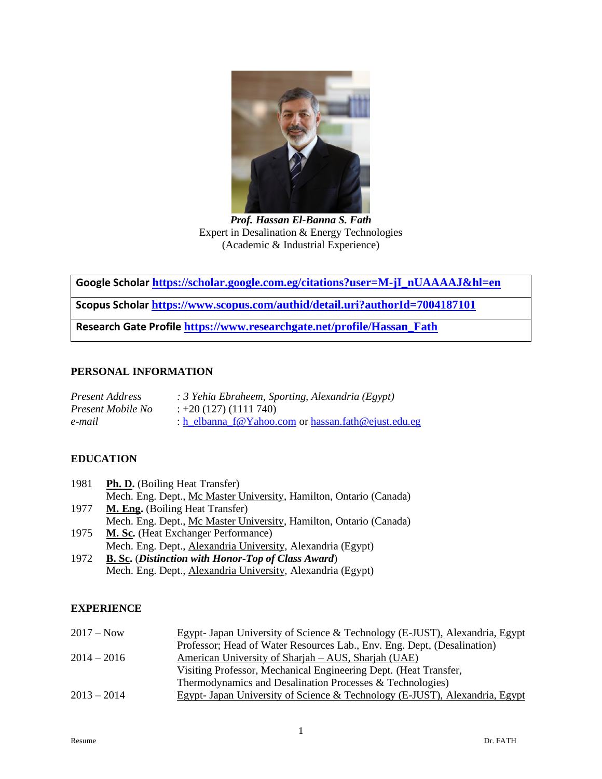

*Prof. Hassan El-Banna S. Fath* Expert in Desalination & Energy Technologies (Academic & Industrial Experience)

**Google Scholar [https://scholar.google.com.eg/citations?user=M-jI\\_nUAAAAJ&hl=en](https://scholar.google.com.eg/citations?user=M-jI_nUAAAAJ&hl=en)**

**Scopus Scholar <https://www.scopus.com/authid/detail.uri?authorId=7004187101>**

**Research Gate Profile [https://www.researchgate.net/profile/Hassan\\_Fath](https://www.researchgate.net/profile/Hassan_Fath)**

# **PERSONAL INFORMATION**

| Present Address   | : 3 Yehia Ebraheem, Sporting, Alexandria (Egypt)    |
|-------------------|-----------------------------------------------------|
| Present Mobile No | $\div$ +20 (127) (1111 740)                         |
| e-mail            | : h elbanna f@Yahoo.com or hassan.fath@ejust.edu.eg |

# **EDUCATION**

| 1981 | <b>Ph. D.</b> (Boiling Heat Transfer)                              |
|------|--------------------------------------------------------------------|
|      | Mech. Eng. Dept., Mc Master University, Hamilton, Ontario (Canada) |
| 1977 | <b>M. Eng.</b> (Boiling Heat Transfer)                             |
|      | Mech. Eng. Dept., Mc Master University, Hamilton, Ontario (Canada) |
| 1975 | <b>M. Sc.</b> (Heat Exchanger Performance)                         |
|      | Mech. Eng. Dept., Alexandria University, Alexandria (Egypt)        |
| 1972 | <b>B. Sc.</b> (Distinction with Honor-Top of Class Award)          |
|      | Mech. Eng. Dept., Alexandria University, Alexandria (Egypt)        |

# **EXPERIENCE**

| $2017 - Now$  | Egypt- Japan University of Science & Technology (E-JUST), Alexandria, Egypt |
|---------------|-----------------------------------------------------------------------------|
|               | Professor; Head of Water Resources Lab., Env. Eng. Dept. (Desalination)     |
| $2014 - 2016$ | American University of Sharjah – AUS, Sharjah (UAE)                         |
|               | Visiting Professor, Mechanical Engineering Dept. (Heat Transfer,            |
|               | Thermodynamics and Desalination Processes & Technologies)                   |
| $2013 - 2014$ | Egypt- Japan University of Science & Technology (E-JUST), Alexandria, Egypt |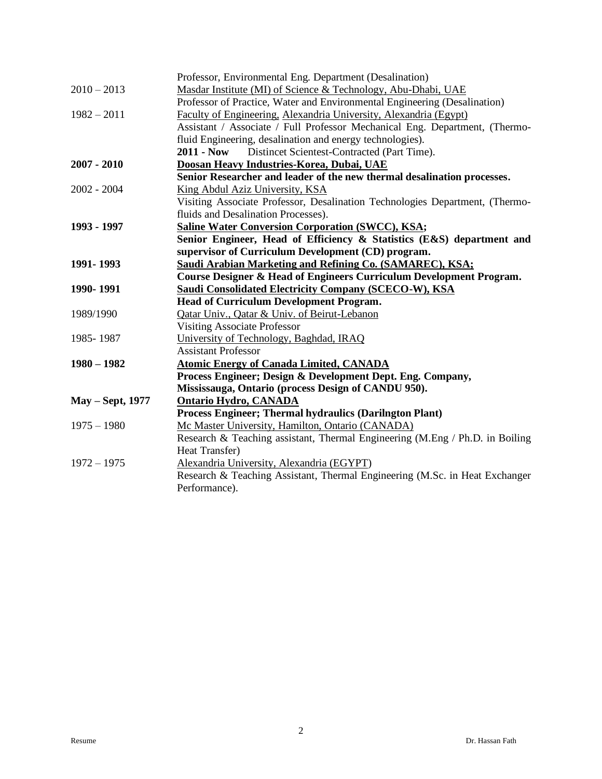|                  | Professor, Environmental Eng. Department (Desalination)                      |
|------------------|------------------------------------------------------------------------------|
| $2010 - 2013$    | Masdar Institute (MI) of Science & Technology, Abu-Dhabi, UAE                |
|                  | Professor of Practice, Water and Environmental Engineering (Desalination)    |
| $1982 - 2011$    | Faculty of Engineering, Alexandria University, Alexandria (Egypt)            |
|                  | Assistant / Associate / Full Professor Mechanical Eng. Department, (Thermo-  |
|                  | fluid Engineering, desalination and energy technologies).                    |
|                  | Distincet Scientest-Contracted (Part Time).<br>2011 - Now                    |
| $2007 - 2010$    | Doosan Heavy Industries-Korea, Dubai, UAE                                    |
|                  | Senior Researcher and leader of the new thermal desalination processes.      |
| $2002 - 2004$    | King Abdul Aziz University, KSA                                              |
|                  | Visiting Associate Professor, Desalination Technologies Department, (Thermo- |
|                  | fluids and Desalination Processes).                                          |
| 1993 - 1997      | <b>Saline Water Conversion Corporation (SWCC), KSA;</b>                      |
|                  | Senior Engineer, Head of Efficiency & Statistics (E&S) department and        |
|                  | supervisor of Curriculum Development (CD) program.                           |
| 1991-1993        | <b>Saudi Arabian Marketing and Refining Co. (SAMAREC), KSA;</b>              |
|                  | Course Designer & Head of Engineers Curriculum Development Program.          |
| 1990-1991        | Saudi Consolidated Electricity Company (SCECO-W), KSA                        |
|                  | <b>Head of Curriculum Development Program.</b>                               |
| 1989/1990        | Qatar Univ., Qatar & Univ. of Beirut-Lebanon                                 |
|                  | <b>Visiting Associate Professor</b>                                          |
| 1985-1987        | University of Technology, Baghdad, IRAQ                                      |
|                  | <b>Assistant Professor</b>                                                   |
| $1980 - 1982$    | <b>Atomic Energy of Canada Limited, CANADA</b>                               |
|                  | Process Engineer; Design & Development Dept. Eng. Company,                   |
|                  | Mississauga, Ontario (process Design of CANDU 950).                          |
| May – Sept, 1977 | <b>Ontario Hydro, CANADA</b>                                                 |
|                  | Process Engineer; Thermal hydraulics (Darilngton Plant)                      |
| $1975 - 1980$    | Mc Master University, Hamilton, Ontario (CANADA)                             |
|                  | Research & Teaching assistant, Thermal Engineering (M.Eng / Ph.D. in Boiling |
|                  | Heat Transfer)                                                               |
| $1972 - 1975$    | Alexandria University, Alexandria (EGYPT)                                    |
|                  | Research & Teaching Assistant, Thermal Engineering (M.Sc. in Heat Exchanger  |
|                  | Performance).                                                                |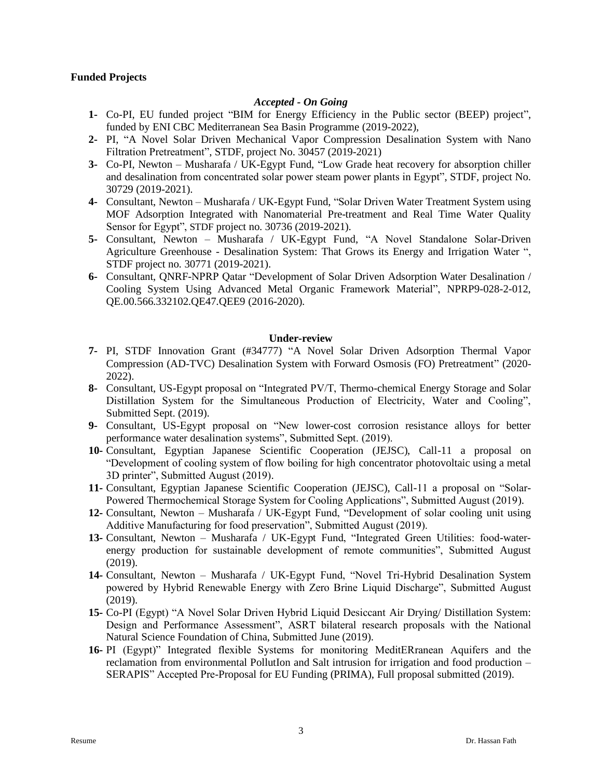## **Funded Projects**

## *Accepted - On Going*

- **1-** Co-PI, EU funded project "BIM for Energy Efficiency in the Public sector (BEEP) project", funded by ENI CBC Mediterranean Sea Basin Programme (2019-2022),
- **2-** PI, "A Novel Solar Driven Mechanical Vapor Compression Desalination System with Nano Filtration Pretreatment", STDF, project No. 30457 (2019-2021)
- **3-** Co-PI, Newton Musharafa / UK-Egypt Fund, "Low Grade heat recovery for absorption chiller and desalination from concentrated solar power steam power plants in Egypt", STDF, project No. 30729 (2019-2021).
- **4-** Consultant, Newton Musharafa / UK-Egypt Fund, "Solar Driven Water Treatment System using MOF Adsorption Integrated with Nanomaterial Pre-treatment and Real Time Water Quality Sensor for Egypt", STDF project no. 30736 (2019-2021).
- **5-** Consultant, Newton Musharafa / UK-Egypt Fund, "A Novel Standalone Solar-Driven Agriculture Greenhouse - Desalination System: That Grows its Energy and Irrigation Water ", STDF project no. 30771 (2019-2021).
- **6-** Consultant, QNRF-NPRP Qatar "Development of Solar Driven Adsorption Water Desalination / Cooling System Using Advanced Metal Organic Framework Material", NPRP9-028-2-012, QE.00.566.332102.QE47.QEE9 (2016-2020).

## **Under-review**

- **7-** PI, STDF Innovation Grant (#34777) "A Novel Solar Driven Adsorption Thermal Vapor Compression (AD-TVC) Desalination System with Forward Osmosis (FO) Pretreatment" (2020- 2022).
- **8-** Consultant, US-Egypt proposal on "Integrated PV/T, Thermo-chemical Energy Storage and Solar Distillation System for the Simultaneous Production of Electricity, Water and Cooling", Submitted Sept. (2019).
- **9-** Consultant, US-Egypt proposal on "New lower-cost corrosion resistance alloys for better performance water desalination systems", Submitted Sept. (2019).
- **10-** Consultant, Egyptian Japanese Scientific Cooperation (JEJSC), Call-11 a proposal on "Development of cooling system of flow boiling for high concentrator photovoltaic using a metal 3D printer", Submitted August (2019).
- **11-** Consultant, Egyptian Japanese Scientific Cooperation (JEJSC), Call-11 a proposal on "Solar-Powered Thermochemical Storage System for Cooling Applications", Submitted August (2019).
- **12-** Consultant, Newton Musharafa / UK-Egypt Fund, "Development of solar cooling unit using Additive Manufacturing for food preservation", Submitted August (2019).
- **13-** Consultant, Newton Musharafa / UK-Egypt Fund, "Integrated Green Utilities: food-waterenergy production for sustainable development of remote communities", Submitted August (2019).
- **14-** Consultant, Newton Musharafa / UK-Egypt Fund, "Novel Tri-Hybrid Desalination System powered by Hybrid Renewable Energy with Zero Brine Liquid Discharge", Submitted August (2019).
- **15-** Co-PI (Egypt) "A Novel Solar Driven Hybrid Liquid Desiccant Air Drying/ Distillation System: Design and Performance Assessment", ASRT bilateral research proposals with the National Natural Science Foundation of China, Submitted June (2019).
- **16-** PI (Egypt)" Integrated flexible Systems for monitoring MeditERranean Aquifers and the reclamation from environmental PollutIon and Salt intrusion for irrigation and food production – SERAPIS" Accepted Pre-Proposal for EU Funding (PRIMA), Full proposal submitted (2019).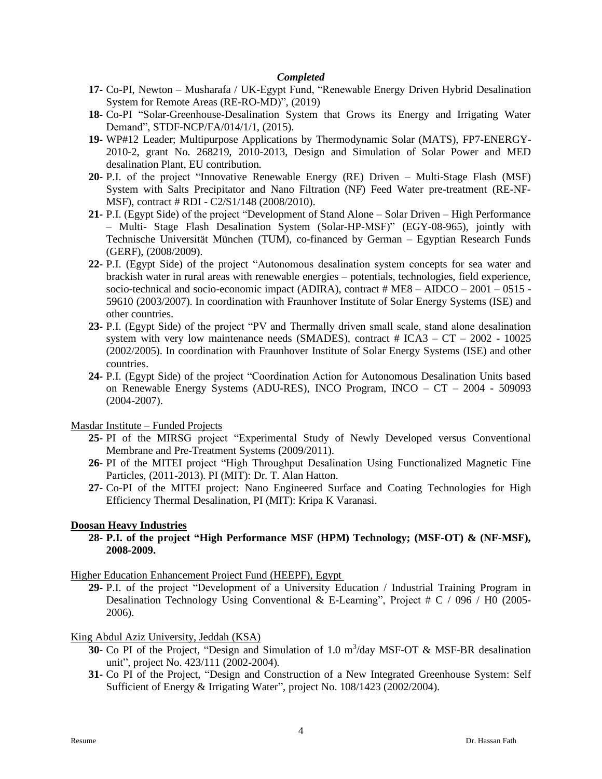## *Completed*

- **17-** Co-PI, Newton Musharafa / UK-Egypt Fund, "Renewable Energy Driven Hybrid Desalination System for Remote Areas (RE-RO-MD)", (2019)
- **18-** Co-PI "Solar-Greenhouse-Desalination System that Grows its Energy and Irrigating Water Demand", STDF-NCP/FA/014/1/1, (2015).
- **19-** WP#12 Leader; Multipurpose Applications by Thermodynamic Solar (MATS), FP7-ENERGY-2010-2, grant No. 268219, 2010-2013, Design and Simulation of Solar Power and MED desalination Plant, EU contribution.
- **20-** P.I. of the project "Innovative Renewable Energy (RE) Driven Multi-Stage Flash (MSF) System with Salts Precipitator and Nano Filtration (NF) Feed Water pre-treatment (RE-NF-MSF), contract # RDI - C2/S1/148 (2008/2010).
- **21-** P.I. (Egypt Side) of the project "Development of Stand Alone Solar Driven High Performance – Multi- Stage Flash Desalination System (Solar-HP-MSF)" (EGY-08-965), jointly with Technische Universität München (TUM), co-financed by German – Egyptian Research Funds (GERF), (2008/2009).
- **22-** P.I. (Egypt Side) of the project "Autonomous desalination system concepts for sea water and brackish water in rural areas with renewable energies – potentials, technologies, field experience, socio-technical and socio-economic impact (ADIRA), contract  $\# \text{ME8} - \text{AIDCO} - 2001 - 0515 -$ 59610 (2003/2007). In coordination with Fraunhover Institute of Solar Energy Systems (ISE) and other countries.
- **23-** P.I. (Egypt Side) of the project "PV and Thermally driven small scale, stand alone desalination system with very low maintenance needs (SMADES), contract  $\#$  ICA3 – CT – 2002 - 10025 (2002/2005). In coordination with Fraunhover Institute of Solar Energy Systems (ISE) and other countries.
- **24-** P.I. (Egypt Side) of the project "Coordination Action for Autonomous Desalination Units based on Renewable Energy Systems (ADU-RES), INCO Program, INCO – CT – 2004 - 509093 (2004-2007).

## Masdar Institute – Funded Projects

- **25-** PI of the MIRSG project "Experimental Study of Newly Developed versus Conventional Membrane and Pre-Treatment Systems (2009/2011).
- **26-** PI of the MITEI project "High Throughput Desalination Using Functionalized Magnetic Fine Particles, (2011-2013). PI (MIT): Dr. T. Alan Hatton.
- **27-** Co-PI of the MITEI project: Nano Engineered Surface and Coating Technologies for High Efficiency Thermal Desalination, PI (MIT): Kripa K Varanasi.

## **Doosan Heavy Industries**

**28- P.I. of the project "High Performance MSF (HPM) Technology; (MSF-OT) & (NF-MSF), 2008-2009.**

## Higher Education Enhancement Project Fund (HEEPF), Egypt

**29-** P.I. of the project "Development of a University Education / Industrial Training Program in Desalination Technology Using Conventional & E-Learning", Project #  $C / 096 / H0$  (2005-2006).

## King Abdul Aziz University, Jeddah (KSA)

- **30-** Co PI of the Project, "Design and Simulation of 1.0 m<sup>3</sup>/day MSF-OT & MSF-BR desalination unit", project No. 423/111 (2002-2004).
- **31-** Co PI of the Project, "Design and Construction of a New Integrated Greenhouse System: Self Sufficient of Energy & Irrigating Water", project No. 108/1423 (2002/2004).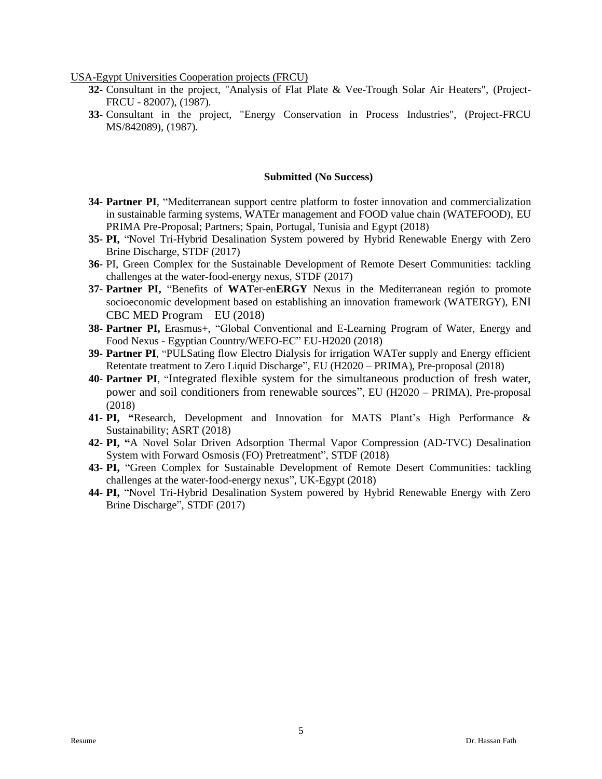USA-Egypt Universities Cooperation projects (FRCU)

- **32-** Consultant in the project, "Analysis of Flat Plate & Vee-Trough Solar Air Heaters", (Project-FRCU - 82007), (1987).
- **33-** Consultant in the project, "Energy Conservation in Process Industries", (Project-FRCU MS/842089), (1987).

#### **Submitted (No Success)**

- **34- Partner PI**, "Mediterranean support centre platform to foster innovation and commercialization in sustainable farming systems, WATEr management and FOOD value chain (WATEFOOD), EU PRIMA Pre-Proposal; Partners; Spain, Portugal, Tunisia and Egypt (2018)
- **35- PI,** "Novel Tri-Hybrid Desalination System powered by Hybrid Renewable Energy with Zero Brine Discharge, STDF (2017)
- **36-** PI, Green Complex for the Sustainable Development of Remote Desert Communities: tackling challenges at the water-food-energy nexus, STDF (2017)
- **37- Partner PI,** "Benefits of **WAT**er-en**ERGY** Nexus in the Mediterranean región to promote socioeconomic development based on establishing an innovation framework (WATERGY), ENI CBC MED Program – EU (2018)
- **38- Partner PI,** Erasmus+, "Global Conventional and E-Learning Program of Water, Energy and Food Nexus - Egyptian Country/WEFO-EC" EU-H2020 (2018)
- **39- Partner PI**, "PULSating flow Electro Dialysis for irrigation WATer supply and Energy efficient Retentate treatment to Zero Liquid Discharge", EU (H2020 – PRIMA), Pre-proposal (2018)
- **40- Partner PI**, "Integrated flexible system for the simultaneous production of fresh water, power and soil conditioners from renewable sources", EU (H2020 – PRIMA), Pre-proposal (2018)
- **41- PI, "**Research, Development and Innovation for MATS Plant's High Performance & Sustainability; ASRT (2018)
- **42- PI, "**A Novel Solar Driven Adsorption Thermal Vapor Compression (AD-TVC) Desalination System with Forward Osmosis (FO) Pretreatment", STDF (2018)
- **43- PI,** "Green Complex for Sustainable Development of Remote Desert Communities: tackling challenges at the water-food-energy nexus", UK-Egypt (2018)
- **44- PI,** "Novel Tri-Hybrid Desalination System powered by Hybrid Renewable Energy with Zero Brine Discharge", STDF (2017)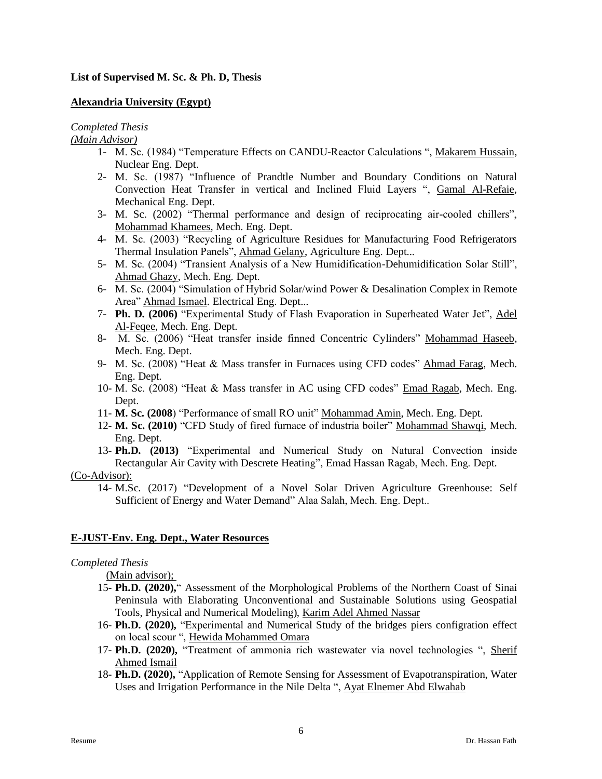# **List of Supervised M. Sc. & Ph. D, Thesis**

# **Alexandria University (Egypt)**

*Completed Thesis*

*(Main Advisor)*

- 1- M. Sc. (1984) "Temperature Effects on CANDU-Reactor Calculations ", Makarem Hussain, Nuclear Eng. Dept.
- 2- M. Sc. (1987) "Influence of Prandtle Number and Boundary Conditions on Natural Convection Heat Transfer in vertical and Inclined Fluid Layers ", Gamal Al-Refaie, Mechanical Eng. Dept.
- 3- M. Sc. (2002) "Thermal performance and design of reciprocating air-cooled chillers", Mohammad Khamees, Mech. Eng. Dept.
- 4- M. Sc. (2003) "Recycling of Agriculture Residues for Manufacturing Food Refrigerators Thermal Insulation Panels", Ahmad Gelany, Agriculture Eng. Dept...
- 5- M. Sc. (2004) "Transient Analysis of a New Humidification-Dehumidification Solar Still", Ahmad Ghazy, Mech. Eng. Dept.
- 6- M. Sc. (2004) "Simulation of Hybrid Solar/wind Power & Desalination Complex in Remote Area" Ahmad Ismael. Electrical Eng. Dept...
- 7- **Ph. D. (2006)** "Experimental Study of Flash Evaporation in Superheated Water Jet", Adel Al-Feqee, Mech. Eng. Dept.
- 8- M. Sc. (2006) "Heat transfer inside finned Concentric Cylinders" Mohammad Haseeb, Mech. Eng. Dept.
- 9- M. Sc. (2008) "Heat & Mass transfer in Furnaces using CFD codes" Ahmad Farag, Mech. Eng. Dept.
- 10- M. Sc. (2008) "Heat & Mass transfer in AC using CFD codes" Emad Ragab, Mech. Eng. Dept.
- 11- **M. Sc. (2008**) "Performance of small RO unit" Mohammad Amin, Mech. Eng. Dept.
- 12- **M. Sc. (2010)** "CFD Study of fired furnace of industria boiler" Mohammad Shawqi, Mech. Eng. Dept.
- 13- **Ph.D. (2013)** "Experimental and Numerical Study on Natural Convection inside Rectangular Air Cavity with Descrete Heating", Emad Hassan Ragab, Mech. Eng. Dept.

## (Co-Advisor):

14- M.Sc. (2017) "Development of a Novel Solar Driven Agriculture Greenhouse: Self Sufficient of Energy and Water Demand" Alaa Salah, Mech. Eng. Dept..

# **E-JUST-Env. Eng. Dept., Water Resources**

# *Completed Thesis*

(Main advisor);

- 15- **Ph.D. (2020),**" Assessment of the Morphological Problems of the Northern Coast of Sinai Peninsula with Elaborating Unconventional and Sustainable Solutions using Geospatial Tools, Physical and Numerical Modeling), Karim Adel Ahmed Nassar
- 16- **Ph.D. (2020),** "Experimental and Numerical Study of the bridges piers configration effect on local scour ", Hewida Mohammed Omara
- 17- **Ph.D. (2020),** "Treatment of ammonia rich wastewater via novel technologies ", Sherif Ahmed Ismail
- 18- **Ph.D. (2020),** "Application of Remote Sensing for Assessment of Evapotranspiration, Water Uses and Irrigation Performance in the Nile Delta ", Ayat Elnemer Abd Elwahab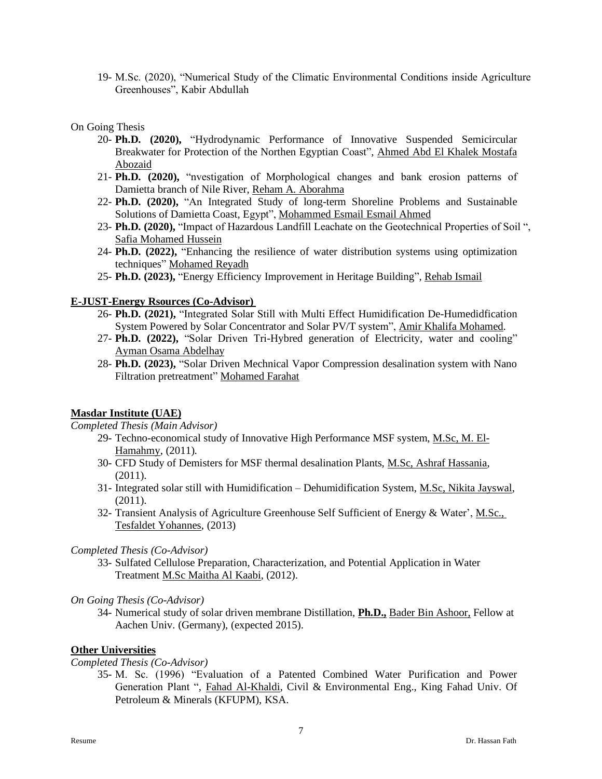19- M.Sc. (2020), "Numerical Study of the Climatic Environmental Conditions inside Agriculture Greenhouses", Kabir Abdullah

## On Going Thesis

- 20- **Ph.D. (2020),** "Hydrodynamic Performance of Innovative Suspended Semicircular Breakwater for Protection of the Northen Egyptian Coast", Ahmed Abd El Khalek Mostafa Abozaid
- 21- **Ph.D. (2020),** "nvestigation of Morphological changes and bank erosion patterns of Damietta branch of Nile River, Reham A. Aborahma
- 22- **Ph.D. (2020),** "An Integrated Study of long-term Shoreline Problems and Sustainable Solutions of Damietta Coast, Egypt", Mohammed Esmail Esmail Ahmed
- 23- **Ph.D. (2020),** "Impact of Hazardous Landfill Leachate on the Geotechnical Properties of Soil ", Safia Mohamed Hussein
- 24- **Ph.D. (2022),** "Enhancing the resilience of water distribution systems using optimization techniques" Mohamed Reyadh
- 25- **Ph.D. (2023),** "Energy Efficiency Improvement in Heritage Building", Rehab Ismail

# **E-JUST-Energy Rsources (Co-Advisor)**

- 26- **Ph.D. (2021),** "Integrated Solar Still with Multi Effect Humidification De-Humedidfication System Powered by Solar Concentrator and Solar PV/T system", Amir Khalifa Mohamed.
- 27- **Ph.D. (2022),** "Solar Driven Tri-Hybred generation of Electricity, water and cooling" Ayman Osama Abdelhay
- 28- **Ph.D. (2023),** "Solar Driven Mechnical Vapor Compression desalination system with Nano Filtration pretreatment" Mohamed Farahat

## **Masdar Institute (UAE)**

*Completed Thesis (Main Advisor)*

- 29- Techno-economical study of Innovative High Performance MSF system, M.Sc, M. El-Hamahmy, (2011).
- 30- CFD Study of Demisters for MSF thermal desalination Plants, M.Sc, Ashraf Hassania, (2011).
- 31- Integrated solar still with Humidification Dehumidification System, M.Sc, Nikita Jayswal, (2011).
- 32- Transient Analysis of Agriculture Greenhouse Self Sufficient of Energy & Water', M.Sc., Tesfaldet Yohannes, (2013)

## *Completed Thesis (Co-Advisor)*

33- Sulfated Cellulose Preparation, Characterization, and Potential Application in Water Treatment M.Sc Maitha Al Kaabi, (2012).

## *On Going Thesis (Co-Advisor)*

34- Numerical study of solar driven membrane Distillation, **Ph.D.,** Bader Bin Ashoor, Fellow at Aachen Univ. (Germany), (expected 2015).

# **Other Universities**

*Completed Thesis (Co-Advisor)*

35- M. Sc. (1996) "Evaluation of a Patented Combined Water Purification and Power Generation Plant ", Fahad Al-Khaldi, Civil & Environmental Eng., King Fahad Univ. Of Petroleum & Minerals (KFUPM), KSA.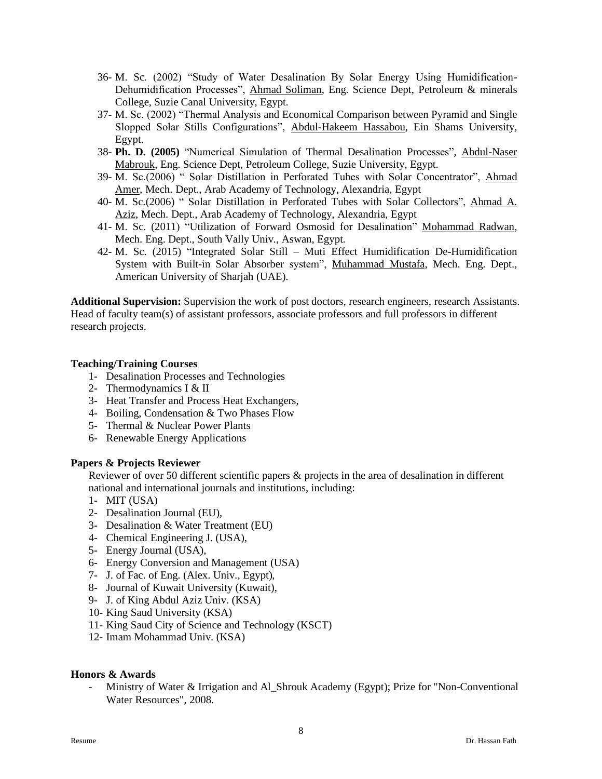- 36- M. Sc. (2002) "Study of Water Desalination By Solar Energy Using Humidification-Dehumidification Processes", Ahmad Soliman, Eng. Science Dept, Petroleum & minerals College, Suzie Canal University, Egypt.
- 37- M. Sc. (2002) "Thermal Analysis and Economical Comparison between Pyramid and Single Slopped Solar Stills Configurations", Abdul-Hakeem Hassabou, Ein Shams University, Egypt.
- 38- **Ph. D. (2005)** "Numerical Simulation of Thermal Desalination Processes", Abdul-Naser Mabrouk, Eng. Science Dept, Petroleum College, Suzie University, Egypt.
- 39- M. Sc.(2006) " Solar Distillation in Perforated Tubes with Solar Concentrator", Ahmad Amer, Mech. Dept., Arab Academy of Technology, Alexandria, Egypt
- 40- M. Sc.(2006) " Solar Distillation in Perforated Tubes with Solar Collectors", Ahmad A. Aziz, Mech. Dept., Arab Academy of Technology, Alexandria, Egypt
- 41- M. Sc. (2011) "Utilization of Forward Osmosid for Desalination" Mohammad Radwan, Mech. Eng. Dept., South Vally Univ., Aswan, Egypt.
- 42- M. Sc. (2015) "Integrated Solar Still Muti Effect Humidification De-Humidification System with Built-in Solar Absorber system", Muhammad Mustafa, Mech. Eng. Dept., American University of Sharjah (UAE).

**Additional Supervision:** Supervision the work of post doctors, research engineers, research Assistants. Head of faculty team(s) of assistant professors, associate professors and full professors in different research projects.

## **Teaching/Training Courses**

- 1- Desalination Processes and Technologies
- 2- Thermodynamics I & II
- 3- Heat Transfer and Process Heat Exchangers,
- 4- Boiling, Condensation & Two Phases Flow
- 5- Thermal & Nuclear Power Plants
- 6- Renewable Energy Applications

# **Papers & Projects Reviewer**

Reviewer of over 50 different scientific papers & projects in the area of desalination in different national and international journals and institutions, including:

- 1- MIT (USA)
- 2- Desalination Journal (EU),
- 3- Desalination & Water Treatment (EU)
- 4- Chemical Engineering J. (USA),
- 5- Energy Journal (USA),
- 6- Energy Conversion and Management (USA)
- 7- J. of Fac. of Eng. (Alex. Univ., Egypt),
- 8- Journal of Kuwait University (Kuwait),
- 9- J. of King Abdul Aziz Univ. (KSA)
- 10- King Saud University (KSA)
- 11- King Saud City of Science and Technology (KSCT)
- 12- Imam Mohammad Univ. (KSA)

## **Honors & Awards**

Ministry of Water & Irrigation and Al\_Shrouk Academy (Egypt); Prize for "Non-Conventional Water Resources", 2008.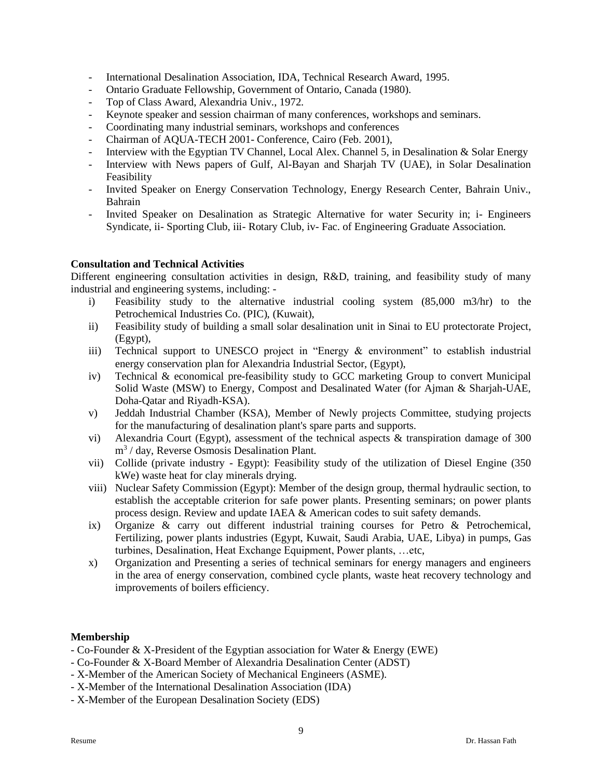- International Desalination Association, IDA, Technical Research Award, 1995.
- Ontario Graduate Fellowship, Government of Ontario, Canada (1980).
- Top of Class Award, Alexandria Univ., 1972.
- Keynote speaker and session chairman of many conferences, workshops and seminars.
- Coordinating many industrial seminars, workshops and conferences
- Chairman of AQUA-TECH 2001- Conference, Cairo (Feb. 2001),
- Interview with the Egyptian TV Channel, Local Alex. Channel 5, in Desalination & Solar Energy
- Interview with News papers of Gulf, Al-Bayan and Sharjah TV (UAE), in Solar Desalination Feasibility
- Invited Speaker on Energy Conservation Technology, Energy Research Center, Bahrain Univ., Bahrain
- Invited Speaker on Desalination as Strategic Alternative for water Security in; i- Engineers Syndicate, ii- Sporting Club, iii- Rotary Club, iv- Fac. of Engineering Graduate Association.

## **Consultation and Technical Activities**

Different engineering consultation activities in design, R&D, training, and feasibility study of many industrial and engineering systems, including: -

- i) Feasibility study to the alternative industrial cooling system (85,000 m3/hr) to the Petrochemical Industries Co. (PIC), (Kuwait),
- ii) Feasibility study of building a small solar desalination unit in Sinai to EU protectorate Project, (Egypt),
- iii) Technical support to UNESCO project in "Energy & environment" to establish industrial energy conservation plan for Alexandria Industrial Sector, (Egypt),
- iv) Technical & economical pre-feasibility study to GCC marketing Group to convert Municipal Solid Waste (MSW) to Energy, Compost and Desalinated Water (for Ajman & Sharjah-UAE, Doha-Qatar and Riyadh-KSA).
- v) Jeddah Industrial Chamber (KSA), Member of Newly projects Committee, studying projects for the manufacturing of desalination plant's spare parts and supports.
- vi) Alexandria Court (Egypt), assessment of the technical aspects & transpiration damage of 300 m 3 / day, Reverse Osmosis Desalination Plant.
- vii) Collide (private industry Egypt): Feasibility study of the utilization of Diesel Engine (350 kWe) waste heat for clay minerals drying.
- viii) Nuclear Safety Commission (Egypt): Member of the design group, thermal hydraulic section, to establish the acceptable criterion for safe power plants. Presenting seminars; on power plants process design. Review and update IAEA & American codes to suit safety demands.
- ix) Organize & carry out different industrial training courses for Petro & Petrochemical, Fertilizing, power plants industries (Egypt, Kuwait, Saudi Arabia, UAE, Libya) in pumps, Gas turbines, Desalination, Heat Exchange Equipment, Power plants, …etc,
- x) Organization and Presenting a series of technical seminars for energy managers and engineers in the area of energy conservation, combined cycle plants, waste heat recovery technology and improvements of boilers efficiency.

## **Membership**

- Co-Founder & X-President of the Egyptian association for Water & Energy (EWE)
- Co-Founder & X-Board Member of Alexandria Desalination Center (ADST)
- X-Member of the American Society of Mechanical Engineers (ASME).
- X-Member of the International Desalination Association (IDA)
- X-Member of the European Desalination Society (EDS)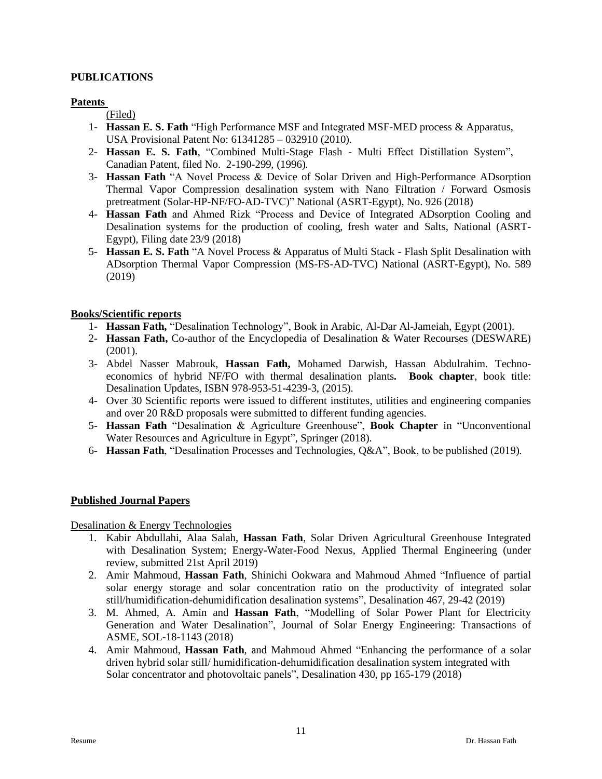# **PUBLICATIONS**

# **Patents**

(Filed)

- 1- **Hassan E. S. Fath** "High Performance MSF and Integrated MSF-MED process & Apparatus, USA Provisional Patent No: 61341285 – 032910 (2010).
- 2- **Hassan E. S. Fath**, "Combined Multi-Stage Flash Multi Effect Distillation System", Canadian Patent, filed No. 2-190-299, (1996).
- 3- **Hassan Fath** "A Novel Process & Device of Solar Driven and High-Performance ADsorption Thermal Vapor Compression desalination system with Nano Filtration / Forward Osmosis pretreatment (Solar-HP-NF/FO-AD-TVC)" National (ASRT-Egypt), No. 926 (2018)
- 4- **Hassan Fath** and Ahmed Rizk "Process and Device of Integrated ADsorption Cooling and Desalination systems for the production of cooling, fresh water and Salts, National (ASRT-Egypt), Filing date 23/9 (2018)
- 5- **Hassan E. S. Fath** "A Novel Process & Apparatus of Multi Stack Flash Split Desalination with ADsorption Thermal Vapor Compression (MS-FS-AD-TVC) National (ASRT-Egypt), No. 589 (2019)

# **Books/Scientific reports**

- 1- **Hassan Fath,** "Desalination Technology", Book in Arabic, Al-Dar Al-Jameiah, Egypt (2001).
- 2- **Hassan Fath,** Co-author of the Encyclopedia of Desalination & Water Recourses (DESWARE) (2001).
- 3- Abdel Nasser Mabrouk, **Hassan Fath,** Mohamed Darwish, Hassan Abdulrahim. Technoeconomics of hybrid NF/FO with thermal desalination plants**. Book chapter**, book title: Desalination Updates, ISBN 978-953-51-4239-3, (2015).
- 4- Over 30 Scientific reports were issued to different institutes, utilities and engineering companies and over 20 R&D proposals were submitted to different funding agencies.
- 5- **Hassan Fath** "Desalination & Agriculture Greenhouse", **Book Chapter** in "Unconventional Water Resources and Agriculture in Egypt", Springer (2018).
- 6- **Hassan Fath**, "Desalination Processes and Technologies, Q&A", Book, to be published (2019).

# **Published Journal Papers**

Desalination & Energy Technologies

- 1. Kabir Abdullahi, Alaa Salah, **Hassan Fath**, Solar Driven Agricultural Greenhouse Integrated with Desalination System; Energy-Water-Food Nexus, Applied Thermal Engineering (under review, submitted 21st April 2019)
- 2. Amir Mahmoud, **Hassan Fath**, Shinichi Ookwara and Mahmoud Ahmed "Influence of partial solar energy storage and solar concentration ratio on the productivity of integrated solar still/humidification-dehumidification desalination systems", Desalination 467, 29-42 (2019)
- 3. M. Ahmed, A. Amin and **Hassan Fath**, "Modelling of Solar Power Plant for Electricity Generation and Water Desalination", Journal of Solar Energy Engineering: Transactions of ASME, SOL-18-1143 (2018)
- 4. Amir Mahmoud, **Hassan Fath**, and Mahmoud Ahmed "Enhancing the performance of a solar driven hybrid solar still/ humidification-dehumidification desalination system integrated with Solar concentrator and photovoltaic panels", Desalination 430, pp 165-179 (2018)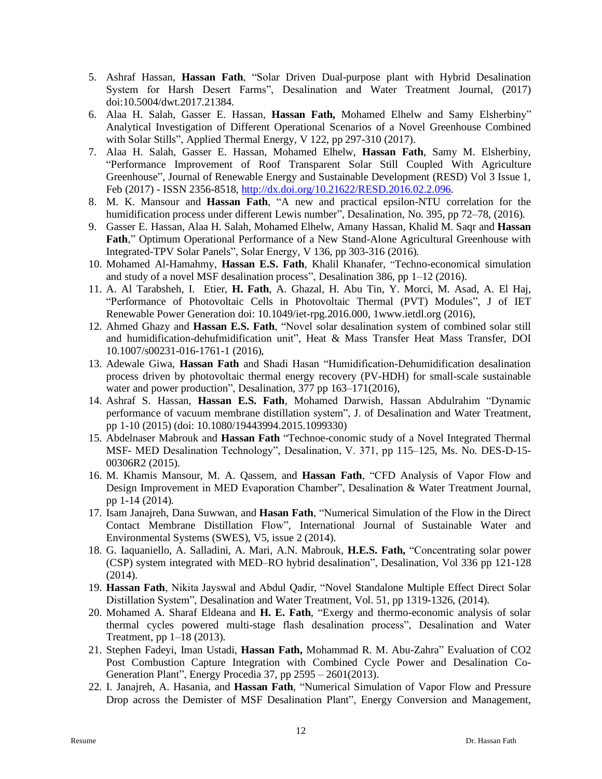- 5. Ashraf Hassan, **Hassan Fath**, "Solar Driven Dual-purpose plant with Hybrid Desalination System for Harsh Desert Farms", Desalination and Water Treatment Journal, (2017) doi:10.5004/dwt.2017.21384.
- 6. Alaa H. Salah, Gasser E. Hassan, **Hassan Fath,** Mohamed Elhelw and Samy Elsherbiny" Analytical Investigation of Different Operational Scenarios of a Novel Greenhouse Combined with Solar Stills", Applied Thermal Energy, V 122, pp 297-310 (2017).
- 7. Alaa H. Salah, Gasser E. Hassan, Mohamed Elhelw, **Hassan Fath**, Samy M. Elsherbiny, "Performance Improvement of Roof Transparent Solar Still Coupled With Agriculture Greenhouse", Journal of Renewable Energy and Sustainable Development (RESD) Vol 3 Issue 1, Feb (2017) - ISSN 2356-8518, [http://dx.doi.org/10.21622/RESD.2016.02.2.096.](http://dx.doi.org/10.21622/RESD.2016.02.2.096)
- 8. M. K. Mansour and **Hassan Fath**, "A new and practical epsilon-NTU correlation for the humidification process under different Lewis number", Desalination, No. 395, pp 72–78, (2016).
- 9. Gasser E. Hassan, Alaa H. Salah, Mohamed Elhelw, Amany Hassan, Khalid M. Saqr and **Hassan Fath**," Optimum Operational Performance of a New Stand-Alone Agricultural Greenhouse with Integrated-TPV Solar Panels", Solar Energy, V 136, pp 303-316 (2016).
- 10. Mohamed Al-Hamahmy, **Hassan E.S. Fath**, Khalil Khanafer, "Techno-economical simulation and study of a novel MSF desalination process", Desalination 386, pp 1–12 (2016).
- 11. A. Al Tarabsheh, I. Etier, **H. Fath**, A. Ghazal, H. Abu Tin, Y. Morci, M. Asad, A. El Haj, "Performance of Photovoltaic Cells in Photovoltaic Thermal (PVT) Modules", J of IET Renewable Power Generation doi: 10.1049/iet-rpg.2016.000, 1www.ietdl.org (2016),
- 12. Ahmed Ghazy and **Hassan E.S. Fath**, "Novel solar desalination system of combined solar still and humidification-dehufmidification unit", Heat & Mass Transfer Heat Mass Transfer, DOI 10.1007/s00231-016-1761-1 (2016),
- 13. Adewale Giwa, **Hassan Fath** and Shadi Hasan "Humidification-Dehumidification desalination process driven by photovoltaic thermal energy recovery (PV-HDH) for small-scale sustainable water and power production", Desalination, 377 pp 163–171(2016),
- 14. Ashraf S. Hassan, **Hassan E.S. Fath**, Mohamed Darwish, Hassan Abdulrahim "Dynamic performance of vacuum membrane distillation system", J. of Desalination and Water Treatment, pp 1-10 (2015) (doi: 10.1080/19443994.2015.1099330)
- 15. Abdelnaser Mabrouk and **Hassan Fath** "Technoe-conomic study of a Novel Integrated Thermal MSF- MED Desalination Technology", Desalination, V. 371, pp 115–125, Ms. No. DES-D-15- 00306R2 (2015).
- 16. M. Khamis Mansour, M. A. Qassem, and **Hassan Fath**, "CFD Analysis of Vapor Flow and Design Improvement in MED Evaporation Chamber", Desalination & Water Treatment Journal, pp 1-14 (2014).
- 17. Isam Janajreh, Dana Suwwan, and **Hasan Fath**, "Numerical Simulation of the Flow in the Direct Contact Membrane Distillation Flow", International Journal of Sustainable Water and Environmental Systems (SWES), V5, issue 2 (2014).
- 18. G. Iaquaniello, A. Salladini, A. Mari, A.N. Mabrouk, **H.E.S. Fath,** "Concentrating solar power (CSP) system integrated with MED–RO hybrid desalination", Desalination, Vol 336 pp 121-128 (2014).
- 19. **Hassan Fath**, Nikita Jayswal and Abdul Qadir, "Novel Standalone Multiple Effect Direct Solar Distillation System", Desalination and Water Treatment, Vol. 51, pp 1319-1326, (2014).
- 20. Mohamed A. Sharaf Eldeana and **H. E. Fath**, "Exergy and thermo-economic analysis of solar thermal cycles powered multi-stage flash desalination process", Desalination and Water Treatment, pp 1–18 (2013).
- 21. Stephen Fadeyi, Iman Ustadi, **Hassan Fath,** Mohammad R. M. Abu-Zahra" Evaluation of CO2 Post Combustion Capture Integration with Combined Cycle Power and Desalination Co-Generation Plant", Energy Procedia 37, pp 2595 – 2601(2013).
- 22. I. Janajreh, A. Hasania, and **Hassan Fath**, "Numerical Simulation of Vapor Flow and Pressure Drop across the Demister of MSF Desalination Plant", Energy Conversion and Management,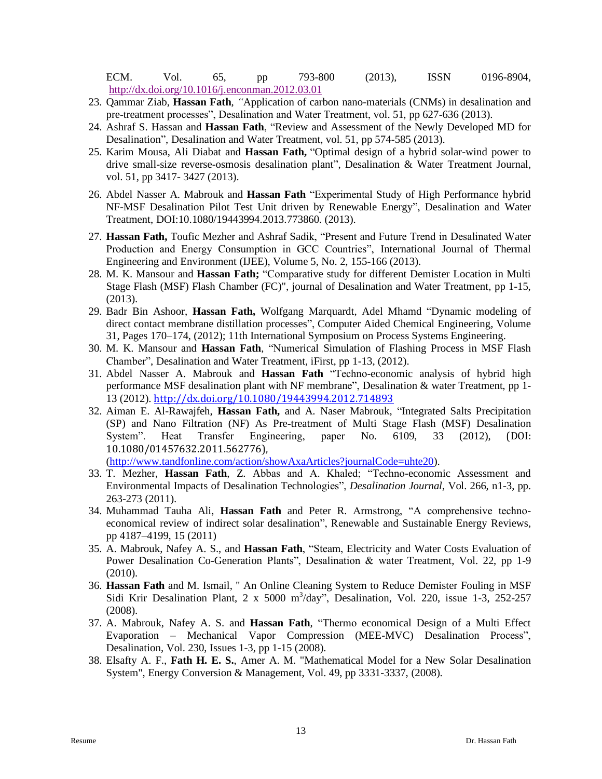ECM. Vol. 65, pp 793-800 (2013), ISSN 0196-8904, [http://dx.doi.org/10.1016/j.enconman.2012.03.01](http://dx.doi.org/10.1016/j.enconman.2012.03.011)

- 23. Qammar Ziab, **Hassan Fath**, *"*Application of carbon nano-materials (CNMs) in desalination and pre-treatment processes", Desalination and Water Treatment, vol. 51, pp 627-636 (2013).
- 24. Ashraf S. Hassan and **Hassan Fath**, "Review and Assessment of the Newly Developed MD for Desalination", Desalination and Water Treatment, vol. 51, pp 574-585 (2013).
- 25. Karim Mousa, Ali Diabat and **Hassan Fath,** "Optimal design of a hybrid solar-wind power to drive small-size reverse-osmosis desalination plant", Desalination & Water Treatment Journal, vol. 51, pp 3417- 3427 (2013).
- 26. Abdel Nasser A. Mabrouk and **Hassan Fath** "Experimental Study of High Performance hybrid NF-MSF Desalination Pilot Test Unit driven by Renewable Energy", Desalination and Water Treatment, DOI:10.1080/19443994.2013.773860. (2013).
- 27. **Hassan Fath,** Toufic Mezher and Ashraf Sadik, "Present and Future Trend in Desalinated Water Production and Energy Consumption in GCC Countries", International Journal of Thermal Engineering and Environment (IJEE), Volume 5, No. 2, 155-166 (2013).
- 28. M. K. Mansour and **Hassan Fath;** "Comparative study for different Demister Location in Multi Stage Flash (MSF) Flash Chamber (FC)", journal of Desalination and Water Treatment, pp 1-15, (2013).
- 29. Badr Bin Ashoor, **Hassan Fath,** Wolfgang Marquardt, Adel Mhamd "Dynamic modeling of direct contact membrane distillation processes", Computer Aided Chemical Engineering, Volume 31, Pages 170–174, (2012); 11th International Symposium on Process Systems Engineering.
- 30. M. K. Mansour and **Hassan Fath**, "Numerical Simulation of Flashing Process in MSF Flash Chamber", Desalination and Water Treatment, iFirst, pp 1-13, (2012).
- 31. Abdel Nasser A. Mabrouk and **Hassan Fath** "Techno-economic analysis of hybrid high performance MSF desalination plant with NF membrane", Desalination & water Treatment, pp 1- 13 (2012). <http://dx.doi.org/10.1080/19443994.2012.714893>
- 32. Aiman E. Al-Rawajfeh, **Hassan Fath,** and A. Naser Mabrouk, "Integrated Salts Precipitation (SP) and Nano Filtration (NF) As Pre-treatment of Multi Stage Flash (MSF) Desalination System". Heat Transfer Engineering, paper No. 6109, 33 (2012), (DOI: 10.1080/01457632.2011.562776),

[\(http://www.tandfonline.com/action/showAxaArticles?journalCode=uhte20\)](http://www.tandfonline.com/action/showAxaArticles?journalCode=uhte20).

- 33. T. Mezher, **Hassan Fath**, Z. Abbas and A. Khaled; "Techno-economic Assessment and Environmental Impacts of Desalination Technologies", *Desalination Journal*, Vol. 266, n1-3, pp. 263-273 (2011).
- 34. Muhammad Tauha Ali, **Hassan Fath** and Peter R. Armstrong, "A comprehensive technoeconomical review of indirect solar desalination", Renewable and Sustainable Energy Reviews, pp 4187–4199, 15 (2011)
- 35. A. Mabrouk, Nafey A. S., and **Hassan Fath**, "Steam, Electricity and Water Costs Evaluation of Power Desalination Co-Generation Plants", Desalination & water Treatment, Vol. 22, pp 1-9 (2010).
- 36. **Hassan Fath** and M. Ismail, " An Online Cleaning System to Reduce Demister Fouling in MSF Sidi Krir Desalination Plant, 2 x 5000 m<sup>3</sup>/day", Desalination, Vol. 220, issue 1-3, 252-257 (2008).
- 37. A. Mabrouk, Nafey A. S. and **Hassan Fath**, "Thermo economical Design of a Multi Effect Evaporation – Mechanical Vapor Compression (MEE-MVC) Desalination Process", Desalination, Vol. 230, Issues 1-3, pp 1-15 (2008).
- 38. Elsafty A. F., **Fath H. E. S.**, Amer A. M. "Mathematical Model for a New Solar Desalination System", Energy Conversion & Management, Vol. 49, pp 3331-3337, (2008).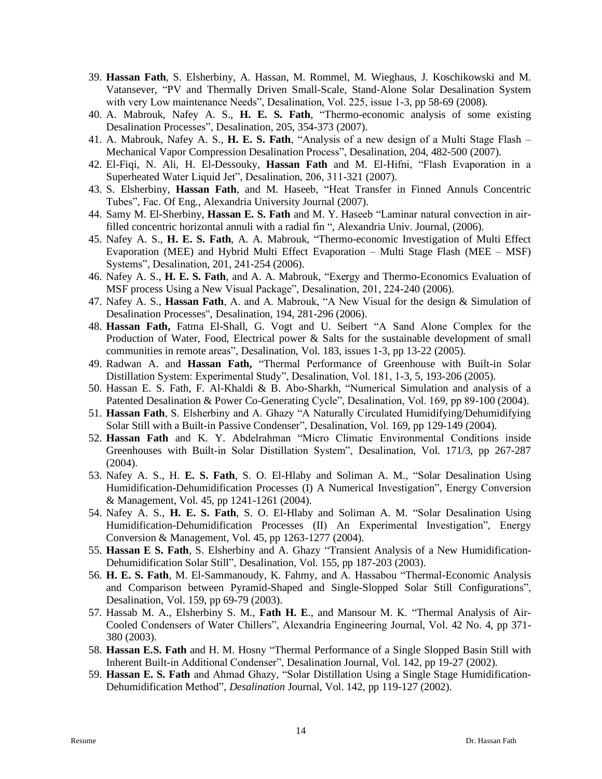- 39. **Hassan Fath**, S. Elsherbiny, A. Hassan, M. Rommel, M. Wieghaus, J. Koschikowski and M. Vatansever, "PV and Thermally Driven Small-Scale, Stand-Alone Solar Desalination System with very Low maintenance Needs", Desalination, Vol. 225, issue 1-3, pp 58-69 (2008).
- 40. A. Mabrouk, Nafey A. S., **H. E. S. Fath**, "Thermo-economic analysis of some existing Desalination Processes", Desalination, 205, 354-373 (2007).
- 41. A. Mabrouk, Nafey A. S., **H. E. S. Fath**, "Analysis of a new design of a Multi Stage Flash Mechanical Vapor Compression Desalination Process", Desalination, 204, 482-500 (2007).
- 42. El-Fiqi, N. Ali, H. El-Dessouky, **Hassan Fath** and M. El-Hifni, "Flash Evaporation in a Superheated Water Liquid Jet", Desalination, 206, 311-321 (2007).
- 43. S. Elsherbiny, **Hassan Fath**, and M. Haseeb, "Heat Transfer in Finned Annuls Concentric Tubes", Fac. Of Eng., Alexandria University Journal (2007).
- 44. Samy M. El-Sherbiny, **Hassan E. S. Fath** and M. Y. Haseeb "Laminar natural convection in airfilled concentric horizontal annuli with a radial fin ", Alexandria Univ. Journal, (2006).
- 45. Nafey A. S., **H. E. S. Fath**, A. A. Mabrouk, "Thermo-economic Investigation of Multi Effect Evaporation (MEE) and Hybrid Multi Effect Evaporation – Multi Stage Flash (MEE – MSF) Systems", Desalination, 201, 241-254 (2006).
- 46. Nafey A. S., **H. E. S. Fath**, and A. A. Mabrouk, "Exergy and Thermo-Economics Evaluation of MSF process Using a New Visual Package", Desalination, 201, 224-240 (2006).
- 47. Nafey A. S., **Hassan Fath**, A. and A. Mabrouk, "A New Visual for the design & Simulation of Desalination Processes", Desalination, 194, 281-296 (2006).
- 48. **Hassan Fath,** Fatma El-Shall, G. Vogt and U. Seibert "A Sand Alone Complex for the Production of Water, Food, Electrical power & Salts for the sustainable development of small communities in remote areas", Desalination, Vol. 183, issues 1-3, pp 13-22 (2005).
- 49. Radwan A. and **Hassan Fath,** "Thermal Performance of Greenhouse with Built-in Solar Distillation System: Experimental Study", Desalination, Vol. 181, 1-3, 5, 193-206 (2005).
- 50. Hassan E. S. Fath, F. Al-Khaldi & B. Abo-Sharkh, "Numerical Simulation and analysis of a Patented Desalination & Power Co-Generating Cycle", Desalination, Vol. 169, pp 89-100 (2004).
- 51. **Hassan Fath**, S. Elsherbiny and A. Ghazy "A Naturally Circulated Humidifying/Dehumidifying Solar Still with a Built-in Passive Condenser", Desalination, Vol. 169, pp 129-149 (2004).
- 52. **Hassan Fath** and K. Y. Abdelrahman "Micro Climatic Environmental Conditions inside Greenhouses with Built-in Solar Distillation System", Desalination, Vol. 171/3, pp 267-287  $(2004)$ .
- 53. Nafey A. S., H. **E. S. Fath**, S. O. El-Hlaby and Soliman A. M., "Solar Desalination Using Humidification-Dehumidification Processes (I) A Numerical Investigation", Energy Conversion & Management, Vol. 45, pp 1241-1261 (2004).
- 54. Nafey A. S., **H. E. S. Fath**, S. O. El-Hlaby and Soliman A. M. "Solar Desalination Using Humidification-Dehumidification Processes (II) An Experimental Investigation", Energy Conversion & Management, Vol. 45, pp 1263-1277 (2004).
- 55. **Hassan E S. Fath**, S. Elsherbiny and A. Ghazy "Transient Analysis of a New Humidification-Dehumidification Solar Still", Desalination, Vol. 155, pp 187-203 (2003).
- 56. **H. E. S. Fath**, M. El-Sammanoudy, K. Fahmy, and A. Hassabou "Thermal-Economic Analysis and Comparison between Pyramid-Shaped and Single-Slopped Solar Still Configurations", Desalination, Vol. 159, pp 69-79 (2003).
- 57. Hassab M. A., Elsherbiny S. M., **Fath H. E**., and Mansour M. K. "Thermal Analysis of Air-Cooled Condensers of Water Chillers", Alexandria Engineering Journal, Vol. 42 No. 4, pp 371- 380 (2003).
- 58. **Hassan E.S. Fath** and H. M. Hosny "Thermal Performance of a Single Slopped Basin Still with Inherent Built-in Additional Condenser", Desalination Journal, Vol. 142, pp 19-27 (2002).
- 59. **Hassan E. S. Fath** and Ahmad Ghazy, "Solar Distillation Using a Single Stage Humidification-Dehumidification Method", *Desalination* Journal, Vol. 142, pp 119-127 (2002).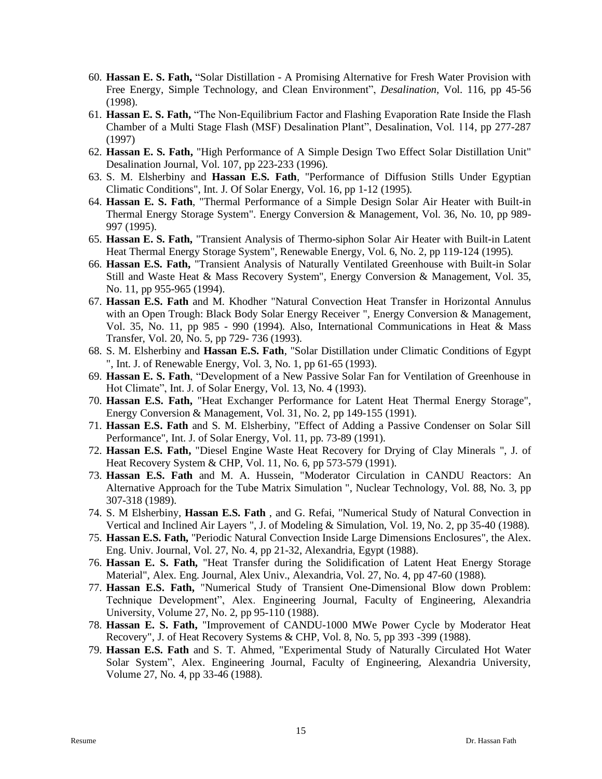- 60. **Hassan E. S. Fath,** "Solar Distillation A Promising Alternative for Fresh Water Provision with Free Energy, Simple Technology, and Clean Environment", *Desalination*, Vol. 116, pp 45-56 (1998).
- 61. **Hassan E. S. Fath,** "The Non-Equilibrium Factor and Flashing Evaporation Rate Inside the Flash Chamber of a Multi Stage Flash (MSF) Desalination Plant", Desalination, Vol. 114, pp 277-287 (1997)
- 62. **Hassan E. S. Fath,** "High Performance of A Simple Design Two Effect Solar Distillation Unit" Desalination Journal, Vol. 107, pp 223-233 (1996).
- 63. S. M. Elsherbiny and **Hassan E.S. Fath**, "Performance of Diffusion Stills Under Egyptian Climatic Conditions", Int. J. Of Solar Energy, Vol. 16, pp 1-12 (1995).
- 64. **Hassan E. S. Fath**, "Thermal Performance of a Simple Design Solar Air Heater with Built-in Thermal Energy Storage System". Energy Conversion & Management, Vol. 36, No. 10, pp 989- 997 (1995).
- 65. **Hassan E. S. Fath,** "Transient Analysis of Thermo-siphon Solar Air Heater with Built-in Latent Heat Thermal Energy Storage System", Renewable Energy, Vol. 6, No. 2, pp 119-124 (1995).
- 66. **Hassan E.S. Fath,** "Transient Analysis of Naturally Ventilated Greenhouse with Built-in Solar Still and Waste Heat & Mass Recovery System", Energy Conversion & Management, Vol. 35, No. 11, pp 955-965 (1994).
- 67. **Hassan E.S. Fath** and M. Khodher "Natural Convection Heat Transfer in Horizontal Annulus with an Open Trough: Black Body Solar Energy Receiver ", Energy Conversion & Management, Vol. 35, No. 11, pp 985 - 990 (1994). Also, International Communications in Heat & Mass Transfer, Vol. 20, No. 5, pp 729- 736 (1993).
- 68. S. M. Elsherbiny and **Hassan E.S. Fath**, "Solar Distillation under Climatic Conditions of Egypt ", Int. J. of Renewable Energy, Vol. 3, No. 1, pp 61-65 (1993).
- 69. **Hassan E. S. Fath**, "Development of a New Passive Solar Fan for Ventilation of Greenhouse in Hot Climate", Int. J. of Solar Energy, Vol. 13, No. 4 (1993).
- 70. **Hassan E.S. Fath,** "Heat Exchanger Performance for Latent Heat Thermal Energy Storage", Energy Conversion & Management, Vol. 31, No. 2, pp 149-155 (1991).
- 71. **Hassan E.S. Fath** and S. M. Elsherbiny, "Effect of Adding a Passive Condenser on Solar Sill Performance", Int. J. of Solar Energy, Vol. 11, pp. 73-89 (1991).
- 72. **Hassan E.S. Fath,** "Diesel Engine Waste Heat Recovery for Drying of Clay Minerals ", J. of Heat Recovery System & CHP, Vol. 11, No. 6, pp 573-579 (1991).
- 73. **Hassan E.S. Fath** and M. A. Hussein, "Moderator Circulation in CANDU Reactors: An Alternative Approach for the Tube Matrix Simulation ", Nuclear Technology, Vol. 88, No. 3, pp 307-318 (1989).
- 74. S. M Elsherbiny, **Hassan E.S. Fath** , and G. Refai, "Numerical Study of Natural Convection in Vertical and Inclined Air Layers ", J. of Modeling & Simulation, Vol. 19, No. 2, pp 35-40 (1988).
- 75. **Hassan E.S. Fath,** "Periodic Natural Convection Inside Large Dimensions Enclosures", the Alex. Eng. Univ. Journal, Vol. 27, No. 4, pp 21-32, Alexandria, Egypt (1988).
- 76. **Hassan E. S. Fath,** "Heat Transfer during the Solidification of Latent Heat Energy Storage Material", Alex. Eng. Journal, Alex Univ., Alexandria, Vol. 27, No. 4, pp 47-60 (1988).
- 77. **Hassan E.S. Fath,** "Numerical Study of Transient One-Dimensional Blow down Problem: Technique Development", Alex. Engineering Journal, Faculty of Engineering, Alexandria University, Volume 27, No. 2, pp 95-110 (1988).
- 78. **Hassan E. S. Fath,** "Improvement of CANDU-1000 MWe Power Cycle by Moderator Heat Recovery", J. of Heat Recovery Systems & CHP, Vol. 8, No. 5, pp 393 -399 (1988).
- 79. **Hassan E.S. Fath** and S. T. Ahmed, "Experimental Study of Naturally Circulated Hot Water Solar System", Alex. Engineering Journal, Faculty of Engineering, Alexandria University, Volume 27, No. 4, pp 33-46 (1988).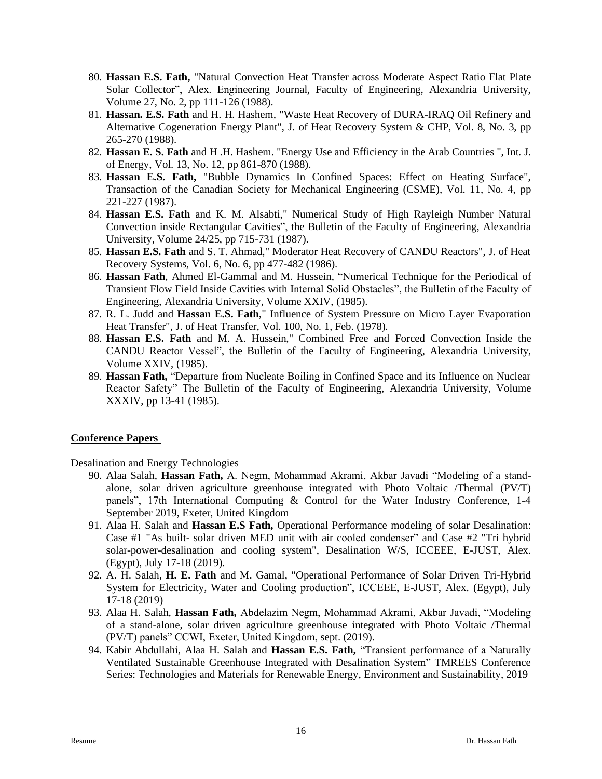- 80. **Hassan E.S. Fath,** "Natural Convection Heat Transfer across Moderate Aspect Ratio Flat Plate Solar Collector", Alex. Engineering Journal, Faculty of Engineering, Alexandria University, Volume 27, No. 2, pp 111-126 (1988).
- 81. **Hassan. E.S. Fath** and H. H. Hashem, "Waste Heat Recovery of DURA-IRAQ Oil Refinery and Alternative Cogeneration Energy Plant", J. of Heat Recovery System & CHP, Vol. 8, No. 3, pp 265-270 (1988).
- 82. **Hassan E. S. Fath** and H .H. Hashem. "Energy Use and Efficiency in the Arab Countries ", Int. J. of Energy, Vol. 13, No. 12, pp 861-870 (1988).
- 83. **Hassan E.S. Fath,** "Bubble Dynamics In Confined Spaces: Effect on Heating Surface", Transaction of the Canadian Society for Mechanical Engineering (CSME), Vol. 11, No. 4, pp 221-227 (1987).
- 84. **Hassan E.S. Fath** and K. M. Alsabti," Numerical Study of High Rayleigh Number Natural Convection inside Rectangular Cavities", the Bulletin of the Faculty of Engineering, Alexandria University, Volume 24/25, pp 715-731 (1987).
- 85. **Hassan E.S. Fath** and S. T. Ahmad," Moderator Heat Recovery of CANDU Reactors", J. of Heat Recovery Systems, Vol. 6, No. 6, pp 477-482 (1986).
- 86. **Hassan Fath**, Ahmed El-Gammal and M. Hussein, "Numerical Technique for the Periodical of Transient Flow Field Inside Cavities with Internal Solid Obstacles", the Bulletin of the Faculty of Engineering, Alexandria University, Volume XXIV, (1985).
- 87. R. L. Judd and **Hassan E.S. Fath**," Influence of System Pressure on Micro Layer Evaporation Heat Transfer", J. of Heat Transfer, Vol. 100, No. 1, Feb. (1978).
- 88. **Hassan E.S. Fath** and M. A. Hussein," Combined Free and Forced Convection Inside the CANDU Reactor Vessel", the Bulletin of the Faculty of Engineering, Alexandria University, Volume XXIV, (1985).
- 89. **Hassan Fath,** "Departure from Nucleate Boiling in Confined Space and its Influence on Nuclear Reactor Safety" The Bulletin of the Faculty of Engineering, Alexandria University, Volume XXXIV, pp 13-41 (1985).

# **Conference Papers**

Desalination and Energy Technologies

- 90. Alaa Salah, **Hassan Fath,** A. Negm, Mohammad Akrami, Akbar Javadi "Modeling of a standalone, solar driven agriculture greenhouse integrated with Photo Voltaic /Thermal (PV/T) panels", 17th International Computing & Control for the Water Industry Conference, 1-4 September 2019, Exeter, United Kingdom
- 91. Alaa H. Salah and **Hassan E.S Fath,** Operational Performance modeling of solar Desalination: Case #1 "As built- solar driven MED unit with air cooled condenser" and Case #2 "Tri hybrid solar-power-desalination and cooling system", Desalination W/S, ICCEEE, E-JUST, Alex. (Egypt), July 17-18 (2019).
- 92. A. H. Salah, **H. E. Fath** and M. Gamal, "Operational Performance of Solar Driven Tri-Hybrid System for Electricity, Water and Cooling production", ICCEEE, E-JUST, Alex. (Egypt), July 17-18 (2019)
- 93. Alaa H. Salah, **Hassan Fath,** Abdelazim Negm, Mohammad Akrami, Akbar Javadi, "Modeling of a stand-alone, solar driven agriculture greenhouse integrated with Photo Voltaic /Thermal (PV/T) panels" CCWI, Exeter, United Kingdom, sept. (2019).
- 94. Kabir Abdullahi, Alaa H. Salah and **Hassan E.S. Fath,** "Transient performance of a Naturally Ventilated Sustainable Greenhouse Integrated with Desalination System" TMREES Conference Series: Technologies and Materials for Renewable Energy, Environment and Sustainability, 2019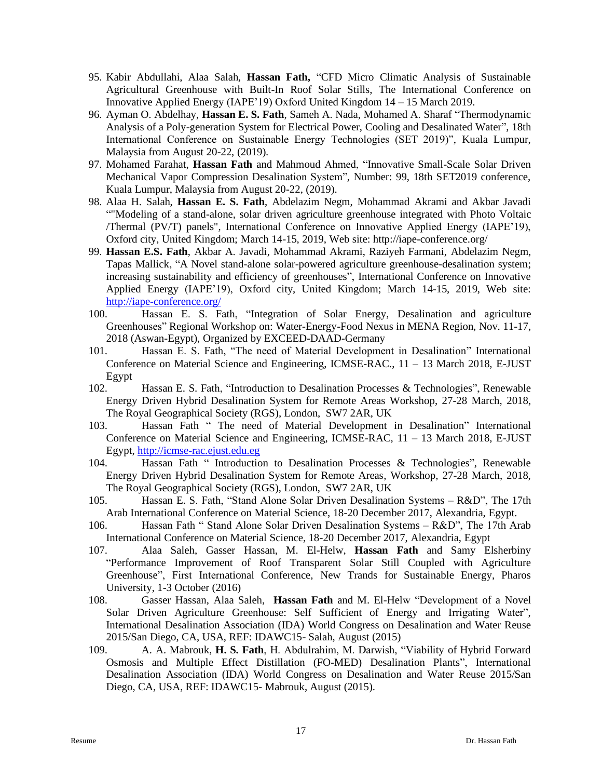- 95. Kabir Abdullahi, Alaa Salah, **Hassan Fath,** "CFD Micro Climatic Analysis of Sustainable Agricultural Greenhouse with Built-In Roof Solar Stills, The International Conference on Innovative Applied Energy (IAPE'19) Oxford United Kingdom 14 – 15 March 2019.
- 96. Ayman O. Abdelhay, **Hassan E. S. Fath**, Sameh A. Nada, Mohamed A. Sharaf "Thermodynamic Analysis of a Poly-generation System for Electrical Power, Cooling and Desalinated Water", 18th International Conference on Sustainable Energy Technologies (SET 2019)", Kuala Lumpur, Malaysia from August 20-22, (2019).
- 97. Mohamed Farahat, **Hassan Fath** and Mahmoud Ahmed, "Innovative Small-Scale Solar Driven Mechanical Vapor Compression Desalination System", Number: 99, 18th SET2019 conference, Kuala Lumpur, Malaysia from August 20-22, (2019).
- 98. Alaa H. Salah, **Hassan E. S. Fath**, Abdelazim Negm, Mohammad Akrami and Akbar Javadi ""Modeling of a stand-alone, solar driven agriculture greenhouse integrated with Photo Voltaic /Thermal (PV/T) panels", International Conference on Innovative Applied Energy (IAPE'19), Oxford city, United Kingdom; March 14-15, 2019, Web site: http://iape-conference.org/
- 99. **Hassan E.S. Fath**, Akbar A. Javadi, Mohammad Akrami, Raziyeh Farmani, Abdelazim Negm, Tapas Mallick, "A Novel stand-alone solar-powered agriculture greenhouse-desalination system; increasing sustainability and efficiency of greenhouses", International Conference on Innovative Applied Energy (IAPE'19), Oxford city, United Kingdom; March 14-15, 2019, Web site: <http://iape-conference.org/>
- 100. Hassan E. S. Fath, "Integration of Solar Energy, Desalination and agriculture Greenhouses" Regional Workshop on: Water-Energy-Food Nexus in MENA Region, Nov. 11-17, 2018 (Aswan-Egypt), Organized by EXCEED-DAAD-Germany
- 101. Hassan E. S. Fath, "The need of Material Development in Desalination" International Conference on Material Science and Engineering, ICMSE-RAC., 11 – 13 March 2018, E-JUST Egypt
- 102. Hassan E. S. Fath, "Introduction to Desalination Processes & Technologies", Renewable Energy Driven Hybrid Desalination System for Remote Areas Workshop, 27-28 March, 2018, The Royal Geographical Society (RGS), London, SW7 2AR, UK
- 103. Hassan Fath " The need of Material Development in Desalination" International Conference on Material Science and Engineering, ICMSE-RAC, 11 – 13 March 2018, E-JUST Egypt, [http://icmse-rac.ejust.edu.eg](http://icmse-rac.ejust.edu.eg/)
- 104. Hassan Fath " Introduction to Desalination Processes & Technologies", Renewable Energy Driven Hybrid Desalination System for Remote Areas, Workshop, 27-28 March, 2018, The Royal Geographical Society (RGS), London, SW7 2AR, UK
- 105. Hassan E. S. Fath, "Stand Alone Solar Driven Desalination Systems R&D", The 17th Arab International Conference on Material Science, 18-20 December 2017, Alexandria, Egypt.
- 106. Hassan Fath " Stand Alone Solar Driven Desalination Systems R&D", The 17th Arab International Conference on Material Science, 18-20 December 2017, Alexandria, Egypt
- 107. Alaa Saleh, Gasser Hassan, M. El-Helw, **Hassan Fath** and Samy Elsherbiny "Performance Improvement of Roof Transparent Solar Still Coupled with Agriculture Greenhouse", First International Conference, New Trands for Sustainable Energy, Pharos University, 1-3 October (2016)
- 108. Gasser Hassan, Alaa Saleh, **Hassan Fath** and M. El-Helw "Development of a Novel Solar Driven Agriculture Greenhouse: Self Sufficient of Energy and Irrigating Water", International Desalination Association (IDA) World Congress on Desalination and Water Reuse 2015/San Diego, CA, USA, REF: IDAWC15- Salah, August (2015)
- 109. A. A. Mabrouk, **H. S. Fath**, H. Abdulrahim, M. Darwish, "Viability of Hybrid Forward Osmosis and Multiple Effect Distillation (FO-MED) Desalination Plants", International Desalination Association (IDA) World Congress on Desalination and Water Reuse 2015/San Diego, CA, USA, REF: IDAWC15- Mabrouk, August (2015).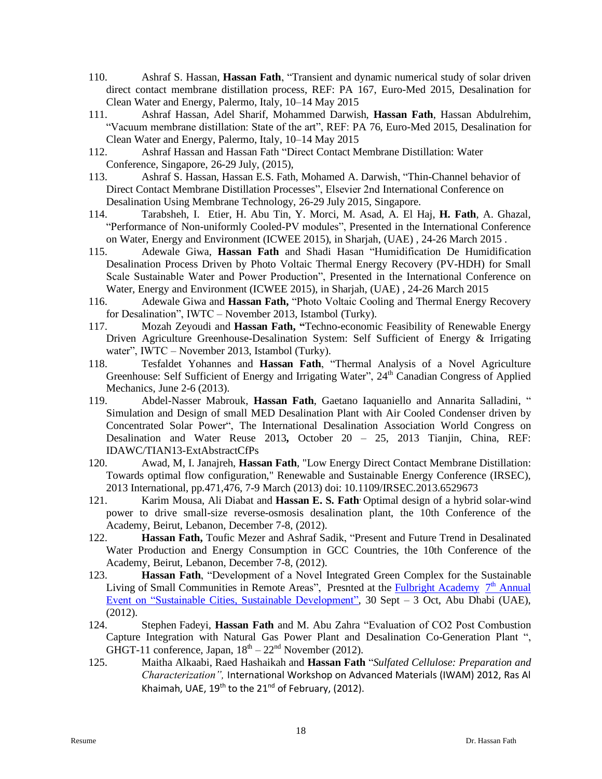- 110. Ashraf S. Hassan, **Hassan Fath**, "Transient and dynamic numerical study of solar driven direct contact membrane distillation process, REF: PA 167, Euro-Med 2015, Desalination for Clean Water and Energy, Palermo, Italy, 10–14 May 2015
- 111. Ashraf Hassan, Adel Sharif, Mohammed Darwish, **Hassan Fath**, Hassan Abdulrehim, "Vacuum membrane distillation: State of the art", REF: PA 76, Euro-Med 2015, Desalination for Clean Water and Energy, Palermo, Italy, 10–14 May 2015
- 112. Ashraf Hassan and Hassan Fath "Direct Contact Membrane Distillation: Water Conference, Singapore, 26-29 July, (2015),
- 113. Ashraf S. Hassan, Hassan E.S. Fath, Mohamed A. Darwish, "Thin-Channel behavior of Direct Contact Membrane Distillation Processes", Elsevier 2nd International Conference on Desalination Using Membrane Technology, 26-29 July 2015, Singapore.
- 114. Tarabsheh, I. Etier, H. Abu Tin, Y. Morci, M. Asad, A. El Haj, **H. Fath**, A. Ghazal, "Performance of Non-uniformly Cooled-PV modules", Presented in the International Conference on Water, Energy and Environment (ICWEE 2015), in Sharjah, (UAE) , 24-26 March 2015 .
- 115. Adewale Giwa, **Hassan Fath** and Shadi Hasan "Humidification De Humidification Desalination Process Driven by Photo Voltaic Thermal Energy Recovery (PV-HDH) for Small Scale Sustainable Water and Power Production", Presented in the International Conference on Water, Energy and Environment (ICWEE 2015), in Sharjah, (UAE) , 24-26 March 2015
- 116. Adewale Giwa and **Hassan Fath,** "Photo Voltaic Cooling and Thermal Energy Recovery for Desalination", IWTC – November 2013, Istambol (Turky).
- 117. Mozah Zeyoudi and **Hassan Fath, "**Techno-economic Feasibility of Renewable Energy Driven Agriculture Greenhouse-Desalination System: Self Sufficient of Energy & Irrigating water", IWTC – November 2013, Istambol (Turky).
- 118. Tesfaldet Yohannes and **Hassan Fath**, "Thermal Analysis of a Novel Agriculture Greenhouse: Self Sufficient of Energy and Irrigating Water", 24<sup>th</sup> Canadian Congress of Applied Mechanics, June 2-6 (2013).
- 119. Abdel-Nasser Mabrouk, **Hassan Fath**, Gaetano Iaquaniello and Annarita Salladini, " Simulation and Design of small MED Desalination Plant with Air Cooled Condenser driven by Concentrated Solar Power", The International Desalination Association World Congress on Desalination and Water Reuse 2013**,** October 20 – 25, 2013 Tianjin, China, REF: IDAWC/TIAN13-ExtAbstractCfPs
- 120. Awad, M, I. Janajreh, **Hassan Fath**, "Low Energy Direct Contact Membrane Distillation: Towards optimal flow configuration," Renewable and Sustainable Energy Conference (IRSEC), 2013 International, pp.471,476, 7-9 March (2013) doi: 10.1109/IRSEC.2013.6529673
- 121. Karim Mousa, Ali Diabat and **Hassan E. S. Fath**, Optimal design of a hybrid solar-wind power to drive small-size reverse-osmosis desalination plant, the 10th Conference of the Academy, Beirut, Lebanon, December 7-8, (2012).
- 122. **Hassan Fath,** Toufic Mezer and Ashraf Sadik, "Present and Future Trend in Desalinated Water Production and Energy Consumption in GCC Countries, the 10th Conference of the Academy, Beirut, Lebanon, December 7-8, (2012).
- 123. **Hassan Fath**, "Development of a Novel Integrated Green Complex for the Sustainable Living of Small Communities in Remote Areas", Presnted at the **Fulbright Academy** 7<sup>th</sup> Annual [Event on "Sustainable Cities, Sustainable Development",](http://www.fulbrightacademy.org/page/conference/index.v3page) 30 Sept – 3 Oct, Abu Dhabi (UAE), (2012).
- 124. Stephen Fadeyi, **Hassan Fath** and M. Abu Zahra "Evaluation of CO2 Post Combustion Capture Integration with Natural Gas Power Plant and Desalination Co-Generation Plant ", GHGT-11 conference, Japan,  $18<sup>th</sup> - 22<sup>nd</sup>$  November (2012).
- 125. Maitha Alkaabi, Raed Hashaikah and **Hassan Fath** "*Sulfated Cellulose: Preparation and Characterization",* International Workshop on Advanced Materials (IWAM) 2012, Ras Al Khaimah, UAE, 19<sup>th</sup> to the 21<sup>nd</sup> of February, (2012).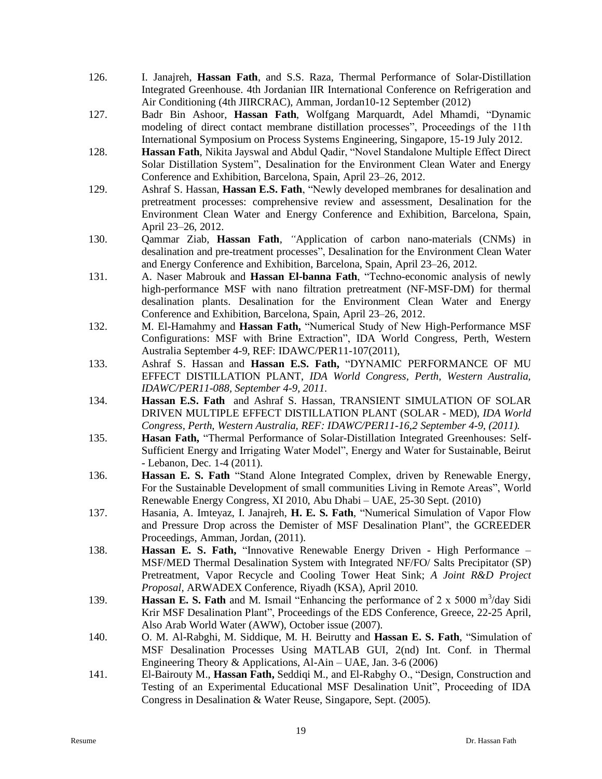- 126. I. Janajreh, **Hassan Fath**, and S.S. Raza, Thermal Performance of Solar-Distillation Integrated Greenhouse. 4th Jordanian IIR International Conference on Refrigeration and Air Conditioning (4th JIIRCRAC), Amman, Jordan10-12 September (2012)
- 127. Badr Bin Ashoor, **Hassan Fath**, Wolfgang Marquardt, Adel Mhamdi, "Dynamic modeling of direct contact membrane distillation processes", Proceedings of the 11th International Symposium on Process Systems Engineering, Singapore, 15-19 July 2012.
- 128. **Hassan Fath**, Nikita Jayswal and Abdul Qadir, "Novel Standalone Multiple Effect Direct Solar Distillation System", Desalination for the Environment Clean Water and Energy Conference and Exhibition, Barcelona, Spain, April 23–26, 2012.
- 129. Ashraf S. Hassan, **Hassan E.S. Fath**, "Newly developed membranes for desalination and pretreatment processes: comprehensive review and assessment, Desalination for the Environment Clean Water and Energy Conference and Exhibition, Barcelona, Spain, April 23–26, 2012.
- 130. Qammar Ziab, **Hassan Fath**, *"*Application of carbon nano-materials (CNMs) in desalination and pre-treatment processes", Desalination for the Environment Clean Water and Energy Conference and Exhibition, Barcelona, Spain, April 23–26, 2012.
- 131. A. Naser Mabrouk and **Hassan El-banna Fath**, "Techno-economic analysis of newly high-performance MSF with nano filtration pretreatment (NF-MSF-DM) for thermal desalination plants. Desalination for the Environment Clean Water and Energy Conference and Exhibition, Barcelona, Spain, April 23–26, 2012.
- 132. M. El-Hamahmy and **Hassan Fath,** "Numerical Study of New High-Performance MSF Configurations: MSF with Brine Extraction", IDA World Congress, Perth, Western Australia September 4-9, REF: IDAWC/PER11-107(2011),
- 133. Ashraf S. Hassan and **Hassan E.S. Fath,** "DYNAMIC PERFORMANCE OF MU EFFECT DISTILLATION PLANT, *IDA World Congress, Perth, Western Australia, IDAWC/PER11-088, September 4-9, 2011.*
- 134. **Hassan E.S. Fath** and Ashraf S. Hassan, TRANSIENT SIMULATION OF SOLAR DRIVEN MULTIPLE EFFECT DISTILLATION PLANT (SOLAR - MED), *IDA World Congress, Perth, Western Australia, REF: IDAWC/PER11-16,2 September 4-9, (2011).*
- 135. **Hasan Fath,** "Thermal Performance of Solar-Distillation Integrated Greenhouses: Self-Sufficient Energy and Irrigating Water Model", Energy and Water for Sustainable, Beirut - Lebanon, Dec. 1-4 (2011).
- 136. **Hassan E. S. Fath** "Stand Alone Integrated Complex, driven by Renewable Energy, For the Sustainable Development of small communities Living in Remote Areas", World Renewable Energy Congress, XI 2010, Abu Dhabi – UAE, 25-30 Sept. (2010)
- 137. Hasania, A. Imteyaz, I. Janajreh, **H. E. S. Fath**, "Numerical Simulation of Vapor Flow and Pressure Drop across the Demister of MSF Desalination Plant", the GCREEDER Proceedings, Amman, Jordan, (2011).
- 138. **Hassan E. S. Fath,** "Innovative Renewable Energy Driven High Performance MSF/MED Thermal Desalination System with Integrated NF/FO/ Salts Precipitator (SP) Pretreatment, Vapor Recycle and Cooling Tower Heat Sink; *A Joint R&D Project Proposal,* ARWADEX Conference, Riyadh (KSA), April 2010.
- 139. **Hassan E. S. Fath** and M. Ismail "Enhancing the performance of 2 x 5000 m<sup>3</sup>/day Sidi Krir MSF Desalination Plant", Proceedings of the EDS Conference, Greece, 22-25 April, Also Arab World Water (AWW), October issue (2007).
- 140. O. M. Al-Rabghi, M. Siddique, M. H. Beirutty and **Hassan E. S. Fath**, "Simulation of MSF Desalination Processes Using MATLAB GUI, 2(nd) Int. Conf. in Thermal Engineering Theory & Applications, Al-Ain – UAE, Jan. 3-6 (2006)
- 141. El-Bairouty M., **Hassan Fath,** Seddiqi M., and El-Rabghy O., "Design, Construction and Testing of an Experimental Educational MSF Desalination Unit", Proceeding of IDA Congress in Desalination & Water Reuse, Singapore, Sept. (2005).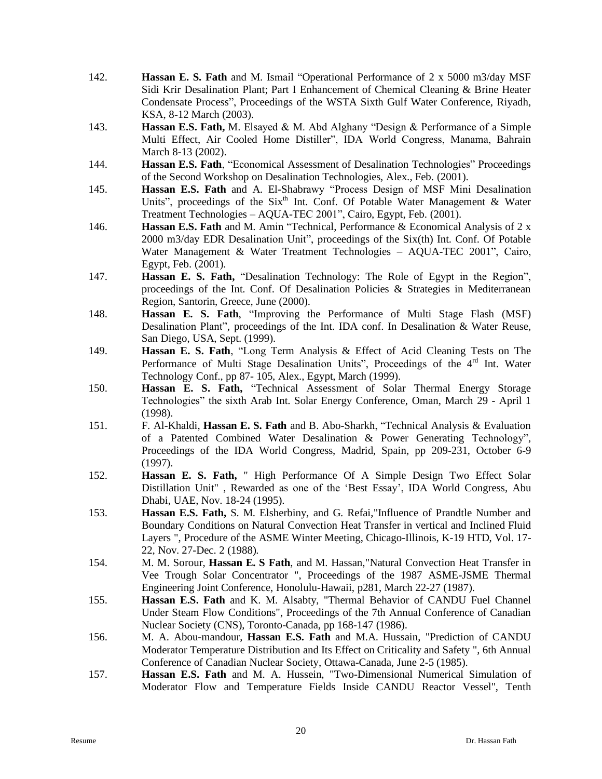- 142. **Hassan E. S. Fath** and M. Ismail "Operational Performance of 2 x 5000 m3/day MSF Sidi Krir Desalination Plant; Part I Enhancement of Chemical Cleaning & Brine Heater Condensate Process", Proceedings of the WSTA Sixth Gulf Water Conference, Riyadh, KSA, 8-12 March (2003).
- 143. **Hassan E.S. Fath,** M. Elsayed & M. Abd Alghany "Design & Performance of a Simple Multi Effect, Air Cooled Home Distiller", IDA World Congress, Manama, Bahrain March 8-13 (2002).
- 144. **Hassan E.S. Fath**, "Economical Assessment of Desalination Technologies" Proceedings of the Second Workshop on Desalination Technologies, Alex., Feb. (2001).
- 145. **Hassan E.S. Fath** and A. El-Shabrawy "Process Design of MSF Mini Desalination Units", proceedings of the Six<sup>th</sup> Int. Conf. Of Potable Water Management  $\&$  Water Treatment Technologies – AQUA-TEC 2001", Cairo, Egypt, Feb. (2001).
- 146. **Hassan E.S. Fath** and M. Amin "Technical, Performance & Economical Analysis of 2 x 2000 m3/day EDR Desalination Unit", proceedings of the Six(th) Int. Conf. Of Potable Water Management & Water Treatment Technologies – AQUA-TEC 2001", Cairo, Egypt, Feb. (2001).
- 147. **Hassan E. S. Fath,** "Desalination Technology: The Role of Egypt in the Region", proceedings of the Int. Conf. Of Desalination Policies & Strategies in Mediterranean Region, Santorin, Greece, June (2000).
- 148. **Hassan E. S. Fath**, "Improving the Performance of Multi Stage Flash (MSF) Desalination Plant", proceedings of the Int. IDA conf. In Desalination & Water Reuse, San Diego, USA, Sept. (1999).
- 149. **Hassan E. S. Fath**, "Long Term Analysis & Effect of Acid Cleaning Tests on The Performance of Multi Stage Desalination Units", Proceedings of the 4<sup>rd</sup> Int. Water Technology Conf., pp 87- 105, Alex., Egypt, March (1999).
- 150. **Hassan E. S. Fath,** "Technical Assessment of Solar Thermal Energy Storage Technologies" the sixth Arab Int. Solar Energy Conference, Oman, March 29 - April 1 (1998).
- 151. F. Al-Khaldi, **Hassan E. S. Fath** and B. Abo-Sharkh, "Technical Analysis & Evaluation of a Patented Combined Water Desalination & Power Generating Technology", Proceedings of the IDA World Congress, Madrid, Spain, pp 209-231, October 6-9 (1997).
- 152. **Hassan E. S. Fath,** " High Performance Of A Simple Design Two Effect Solar Distillation Unit" , Rewarded as one of the 'Best Essay', IDA World Congress, Abu Dhabi, UAE, Nov. 18-24 (1995).
- 153. **Hassan E.S. Fath,** S. M. Elsherbiny, and G. Refai,"Influence of Prandtle Number and Boundary Conditions on Natural Convection Heat Transfer in vertical and Inclined Fluid Layers ", Procedure of the ASME Winter Meeting, Chicago-Illinois, K-19 HTD, Vol. 17- 22, Nov. 27-Dec. 2 (1988).
- 154. M. M. Sorour, **Hassan E. S Fath**, and M. Hassan,"Natural Convection Heat Transfer in Vee Trough Solar Concentrator ", Proceedings of the 1987 ASME-JSME Thermal Engineering Joint Conference, Honolulu-Hawaii, p281, March 22-27 (1987).
- 155. **Hassan E.S. Fath** and K. M. Alsabty, "Thermal Behavior of CANDU Fuel Channel Under Steam Flow Conditions", Proceedings of the 7th Annual Conference of Canadian Nuclear Society (CNS), Toronto-Canada, pp 168-147 (1986).
- 156. M. A. Abou-mandour, **Hassan E.S. Fath** and M.A. Hussain, "Prediction of CANDU Moderator Temperature Distribution and Its Effect on Criticality and Safety ", 6th Annual Conference of Canadian Nuclear Society, Ottawa-Canada, June 2-5 (1985).
- 157. **Hassan E.S. Fath** and M. A. Hussein, "Two-Dimensional Numerical Simulation of Moderator Flow and Temperature Fields Inside CANDU Reactor Vessel", Tenth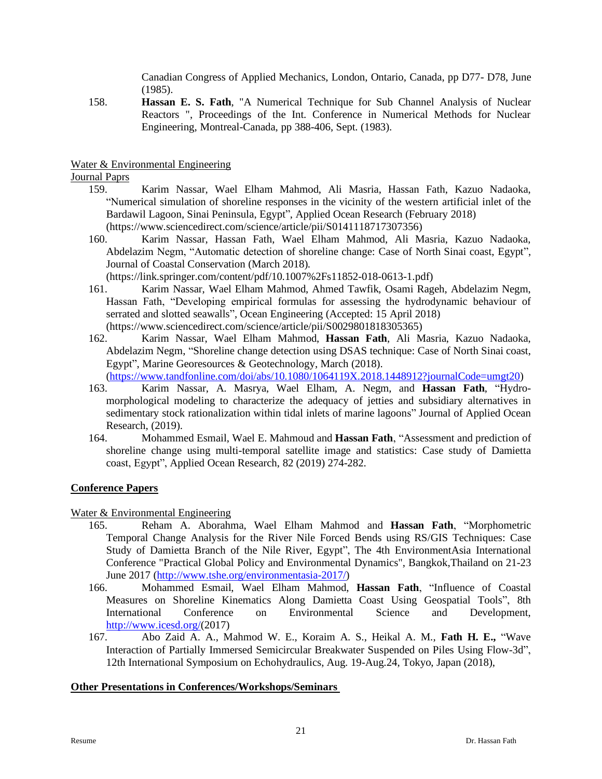Canadian Congress of Applied Mechanics, London, Ontario, Canada, pp D77- D78, June (1985).

158. **Hassan E. S. Fath**, "A Numerical Technique for Sub Channel Analysis of Nuclear Reactors ", Proceedings of the Int. Conference in Numerical Methods for Nuclear Engineering, Montreal-Canada, pp 388-406, Sept. (1983).

# Water & Environmental Engineering

Journal Paprs

- 159. Karim Nassar, Wael Elham Mahmod, Ali Masria, Hassan Fath, Kazuo Nadaoka, "Numerical simulation of shoreline responses in the vicinity of the western artificial inlet of the Bardawil Lagoon, Sinai Peninsula, Egypt", Applied Ocean Research (February 2018) (https://www.sciencedirect.com/science/article/pii/S0141118717307356)
- 160. Karim Nassar, Hassan Fath, Wael Elham Mahmod, Ali Masria, Kazuo Nadaoka, Abdelazim Negm, "Automatic detection of shoreline change: Case of North Sinai coast, Egypt", Journal of Coastal Conservation (March 2018).

(https://link.springer.com/content/pdf/10.1007%2Fs11852-018-0613-1.pdf)

- 161. Karim Nassar, Wael Elham Mahmod, Ahmed Tawfik, Osami Rageh, Abdelazim Negm, Hassan Fath, "Developing empirical formulas for assessing the hydrodynamic behaviour of serrated and slotted seawalls", Ocean Engineering (Accepted: 15 April 2018) (https://www.sciencedirect.com/science/article/pii/S0029801818305365)
- 162. Karim Nassar, Wael Elham Mahmod, **Hassan Fath**, Ali Masria, Kazuo Nadaoka, Abdelazim Negm, "Shoreline change detection using DSAS technique: Case of North Sinai coast, Egypt", Marine Georesources & Geotechnology, March (2018). [\(https://www.tandfonline.com/doi/abs/10.1080/1064119X.2018.1448912?journalCode=umgt20\)](https://www.tandfonline.com/doi/abs/10.1080/1064119X.2018.1448912?journalCode=umgt20)
- 163. Karim Nassar, A. Masrya, Wael Elham, A. Negm, and **Hassan Fath**, "Hydromorphological modeling to characterize the adequacy of jetties and subsidiary alternatives in sedimentary stock rationalization within tidal inlets of marine lagoons" Journal of Applied Ocean Research, (2019).
- 164. Mohammed Esmail, Wael E. Mahmoud and **Hassan Fath**, "Assessment and prediction of shoreline change using multi-temporal satellite image and statistics: Case study of Damietta coast, Egypt", Applied Ocean Research, 82 (2019) 274-282.

# **Conference Papers**

# Water & Environmental Engineering

- 165. Reham A. Aborahma, Wael Elham Mahmod and **Hassan Fath**, "Morphometric Temporal Change Analysis for the River Nile Forced Bends using RS/GIS Techniques: Case Study of Damietta Branch of the Nile River, Egypt", The 4th EnvironmentAsia International Conference "Practical Global Policy and Environmental Dynamics", Bangkok,Thailand on 21-23 June 2017 [\(http://www.tshe.org/environmentasia-2017/\)](http://www.tshe.org/environmentasia-2017/)
- 166. Mohammed Esmail, Wael Elham Mahmod, **Hassan Fath**, "Influence of Coastal Measures on Shoreline Kinematics Along Damietta Coast Using Geospatial Tools", 8th International Conference on Environmental Science and Development, [http://www.icesd.org/\(](http://www.icesd.org/)2017)
- 167. Abo Zaid A. A., Mahmod W. E., Koraim A. S., Heikal A. M., **Fath H. E.,** "Wave Interaction of Partially Immersed Semicircular Breakwater Suspended on Piles Using Flow-3d", 12th International Symposium on Echohydraulics, Aug. 19-Aug.24, Tokyo, Japan (2018),

# **Other Presentations in Conferences/Workshops/Seminars**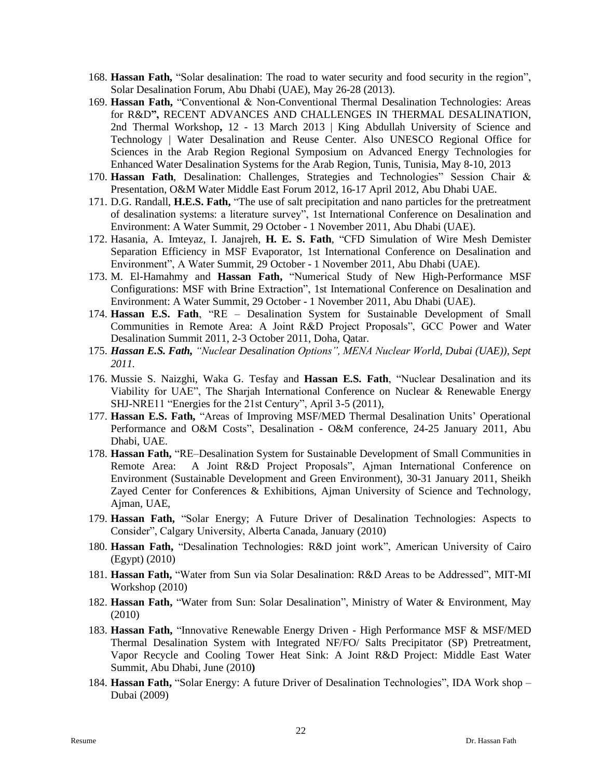- 168. **Hassan Fath,** "Solar desalination: The road to water security and food security in the region", Solar Desalination Forum, Abu Dhabi (UAE), May 26-28 (2013).
- 169. **Hassan Fath,** "Conventional & Non-Conventional Thermal Desalination Technologies: Areas for R&D**",** RECENT ADVANCES AND CHALLENGES IN THERMAL DESALINATION, 2nd Thermal Workshop**,** 12 - 13 March 2013 | King Abdullah University of Science and Technology | Water Desalination and Reuse Center. Also UNESCO Regional Office for Sciences in the Arab Region Regional Symposium on Advanced Energy Technologies for Enhanced Water Desalination Systems for the Arab Region, Tunis, Tunisia, May 8-10, 2013
- 170. **Hassan Fath**, Desalination: Challenges, Strategies and Technologies" Session Chair & Presentation, O&M Water Middle East Forum 2012, 16-17 April 2012, Abu Dhabi UAE.
- 171. D.G. Randall, **H.E.S. Fath,** "The use of salt precipitation and nano particles for the pretreatment of desalination systems: a literature survey", 1st International Conference on Desalination and Environment: A Water Summit, 29 October - 1 November 2011, Abu Dhabi (UAE).
- 172. Hasania, A. Imteyaz, I. Janajreh, **H. E. S. Fath**, "CFD Simulation of Wire Mesh Demister Separation Efficiency in MSF Evaporator, 1st International Conference on Desalination and Environment", A Water Summit, 29 October - 1 November 2011, Abu Dhabi (UAE).
- 173. M. El-Hamahmy and **Hassan Fath,** "Numerical Study of New High-Performance MSF Configurations: MSF with Brine Extraction", 1st International Conference on Desalination and Environment: A Water Summit, 29 October - 1 November 2011, Abu Dhabi (UAE).
- 174. **Hassan E.S. Fath**, "RE Desalination System for Sustainable Development of Small Communities in Remote Area: A Joint R&D Project Proposals", GCC Power and Water Desalination Summit 2011, 2-3 October 2011, Doha, Qatar.
- 175. *Hassan E.S. Fath, "Nuclear Desalination Options", MENA Nuclear World, Dubai (UAE)), Sept 2011.*
- 176. Mussie S. Naizghi, Waka G. Tesfay and **Hassan E.S. Fath**, "Nuclear Desalination and its Viability for UAE", The Sharjah International Conference on Nuclear & Renewable Energy SHJ-NRE11 "Energies for the 21st Century", April 3-5 (2011),
- 177. **Hassan E.S. Fath,** "Areas of Improving MSF/MED Thermal Desalination Units' Operational Performance and O&M Costs", Desalination - O&M conference, 24-25 January 2011, Abu Dhabi, UAE.
- 178. **Hassan Fath,** "RE–Desalination System for Sustainable Development of Small Communities in Remote Area: A Joint R&D Project Proposals", Ajman International Conference on Environment (Sustainable Development and Green Environment), 30-31 January 2011, Sheikh Zayed Center for Conferences & Exhibitions, Ajman University of Science and Technology, Ajman, UAE,
- 179. **Hassan Fath,** "Solar Energy; A Future Driver of Desalination Technologies: Aspects to Consider", Calgary University, Alberta Canada, January (2010)
- 180. **Hassan Fath,** "Desalination Technologies: R&D joint work", American University of Cairo (Egypt) (2010)
- 181. **Hassan Fath,** "Water from Sun via Solar Desalination: R&D Areas to be Addressed", MIT-MI Workshop (2010)
- 182. **Hassan Fath,** "Water from Sun: Solar Desalination", Ministry of Water & Environment, May (2010)
- 183. **Hassan Fath,** "Innovative Renewable Energy Driven High Performance MSF & MSF/MED Thermal Desalination System with Integrated NF/FO/ Salts Precipitator (SP) Pretreatment, Vapor Recycle and Cooling Tower Heat Sink: A Joint R&D Project: Middle East Water Summit, Abu Dhabi, June (2010**)**
- 184. **Hassan Fath,** "Solar Energy: A future Driver of Desalination Technologies", IDA Work shop Dubai (2009)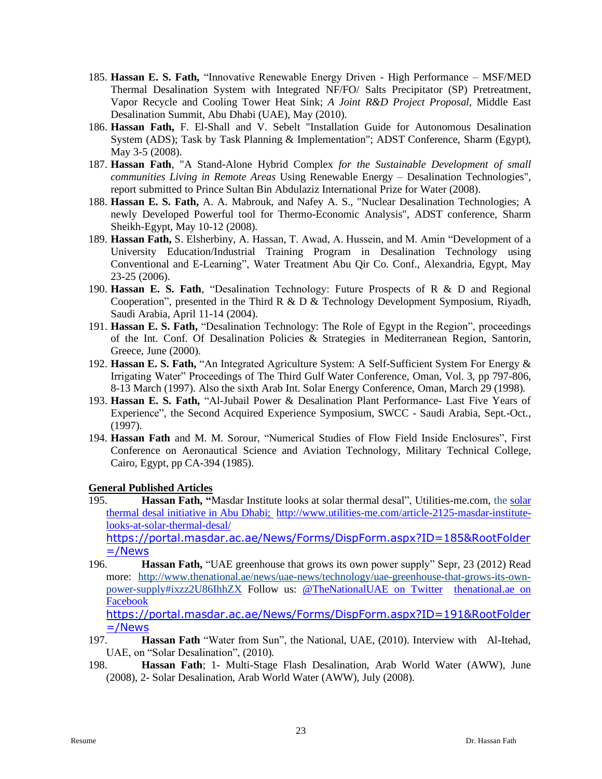- 185. **Hassan E. S. Fath,** "Innovative Renewable Energy Driven High Performance MSF/MED Thermal Desalination System with Integrated NF/FO/ Salts Precipitator (SP) Pretreatment, Vapor Recycle and Cooling Tower Heat Sink; *A Joint R&D Project Proposal,* Middle East Desalination Summit, Abu Dhabi (UAE), May (2010).
- 186. **Hassan Fath,** F. El-Shall and V. Sebelt "Installation Guide for Autonomous Desalination System (ADS); Task by Task Planning & Implementation"; ADST Conference, Sharm (Egypt), May 3-5 (2008).
- 187. **Hassan Fath**, "A Stand-Alone Hybrid Complex *for the Sustainable Development of small communities Living in Remote Areas* Using Renewable Energy – Desalination Technologies", report submitted to Prince Sultan Bin Abdulaziz International Prize for Water (2008).
- 188. **Hassan E. S. Fath,** A. A. Mabrouk, and Nafey A. S., "Nuclear Desalination Technologies; A newly Developed Powerful tool for Thermo-Economic Analysis", ADST conference, Sharm Sheikh-Egypt, May 10-12 (2008).
- 189. **Hassan Fath,** S. Elsherbiny, A. Hassan, T. Awad, A. Hussein, and M. Amin "Development of a University Education/Industrial Training Program in Desalination Technology using Conventional and E-Learning", Water Treatment Abu Qir Co. Conf., Alexandria, Egypt, May 23-25 (2006).
- 190. **Hassan E. S. Fath**, "Desalination Technology: Future Prospects of R & D and Regional Cooperation", presented in the Third R & D & Technology Development Symposium, Riyadh, Saudi Arabia, April 11-14 (2004).
- 191. **Hassan E. S. Fath,** "Desalination Technology: The Role of Egypt in the Region", proceedings of the Int. Conf. Of Desalination Policies & Strategies in Mediterranean Region, Santorin, Greece, June (2000).
- 192. **Hassan E. S. Fath,** "An Integrated Agriculture System: A Self-Sufficient System For Energy & Irrigating Water" Proceedings of The Third Gulf Water Conference, Oman, Vol. 3, pp 797-806, 8-13 March (1997). Also the sixth Arab Int. Solar Energy Conference, Oman, March 29 (1998).
- 193. **Hassan E. S. Fath,** "Al-Jubail Power & Desalination Plant Performance- Last Five Years of Experience", the Second Acquired Experience Symposium, SWCC - Saudi Arabia, Sept.-Oct., (1997).
- 194. **Hassan Fath** and M. M. Sorour, "Numerical Studies of Flow Field Inside Enclosures", First Conference on Aeronautical Science and Aviation Technology, Military Technical College, Cairo, Egypt, pp CA-394 (1985).

# **General Published Articles**

195. **Hassan Fath, "**Masdar Institute looks at solar thermal desal", Utilities-me.com, th[e solar](http://www.utilities-me.com/article-2125-masdar-institute-looks-at-solar-thermal-desal/)  [thermal desal initiative in Abu Dhabi;](http://www.utilities-me.com/article-2125-masdar-institute-looks-at-solar-thermal-desal/) [http://www.utilities-me.com/article-2125-masdar-institute](http://www.utilities-me.com/article-2125-masdar-institute-looks-at-solar-thermal-desal/)[looks-at-solar-thermal-desal/](http://www.utilities-me.com/article-2125-masdar-institute-looks-at-solar-thermal-desal/)

[https://portal.masdar.ac.ae/News/Forms/DispForm.aspx?ID=185&RootFolder](https://portal.masdar.ac.ae/News/Forms/DispForm.aspx?ID=185&RootFolder=/News) [=/News](https://portal.masdar.ac.ae/News/Forms/DispForm.aspx?ID=185&RootFolder=/News)

196. **Hassan Fath,** "UAE greenhouse that grows its own power supply" Sepr, 23 (2012) Read more: [http://www.thenational.ae/news/uae-news/technology/uae-greenhouse-that-grows-its-own](http://www.thenational.ae/news/uae-news/technology/uae-greenhouse-that-grows-its-own-power-supply#ixzz2U86IhhZX)[power-supply#ixzz2U86IhhZX](http://www.thenational.ae/news/uae-news/technology/uae-greenhouse-that-grows-its-own-power-supply#ixzz2U86IhhZX) Follow us: [@TheNationalUAE on Twitter](http://ec.tynt.com/b/rw?id=dWaPA6hc8r4PVbacwqm_6l&u=TheNationalUAE) [thenational.ae on](http://ec.tynt.com/b/rf?id=dWaPA6hc8r4PVbacwqm_6l&u=thenational.ae)  [Facebook](http://ec.tynt.com/b/rf?id=dWaPA6hc8r4PVbacwqm_6l&u=thenational.ae)

[https://portal.masdar.ac.ae/News/Forms/DispForm.aspx?ID=191&RootFolder](https://portal.masdar.ac.ae/News/Forms/DispForm.aspx?ID=191&RootFolder=/News) [=/News](https://portal.masdar.ac.ae/News/Forms/DispForm.aspx?ID=191&RootFolder=/News)

- 197. **Hassan Fath** "Water from Sun", the National, UAE, (2010). Interview with Al-Itehad, UAE, on "Solar Desalination", (2010).
- 198. **Hassan Fath**; 1- Multi-Stage Flash Desalination, Arab World Water (AWW), June (2008), 2- Solar Desalination, Arab World Water (AWW), July (2008).